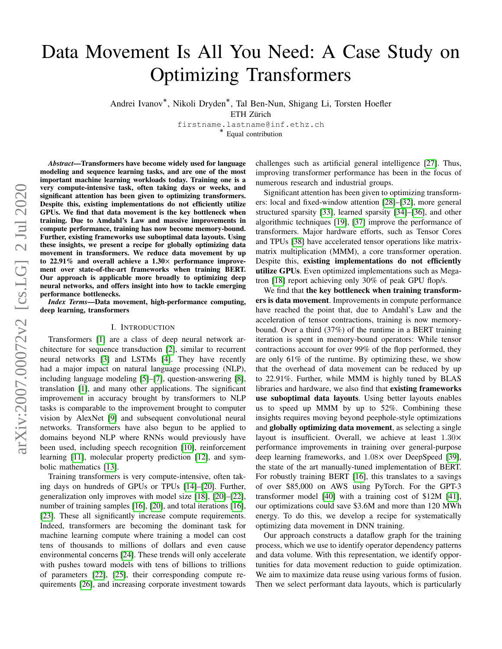# arXiv:2007.00072v2 [cs.LG] 2 Jul 2020 arXiv:2007.00072v2 [cs.LG] 2 Jul 2020

# Data Movement Is All You Need: A Case Study on Optimizing Transformers

Andrei Ivanov<sup>∗</sup> , Nikoli Dryden<sup>∗</sup> , Tal Ben-Nun, Shigang Li, Torsten Hoefler

ETH Zürich

firstname.lastname@inf.ethz.ch ∗ Equal contribution

*Abstract*—Transformers have become widely used for language modeling and sequence learning tasks, and are one of the most important machine learning workloads today. Training one is a very compute-intensive task, often taking days or weeks, and significant attention has been given to optimizing transformers. Despite this, existing implementations do not efficiently utilize GPUs. We find that data movement is the key bottleneck when training. Due to Amdahl's Law and massive improvements in compute performance, training has now become memory-bound. Further, existing frameworks use suboptimal data layouts. Using these insights, we present a recipe for globally optimizing data movement in transformers. We reduce data movement by up to 22.91% and overall achieve a  $1.30\times$  performance improvement over state-of-the-art frameworks when training BERT. Our approach is applicable more broadly to optimizing deep neural networks, and offers insight into how to tackle emerging performance bottlenecks.

*Index Terms*—Data movement, high-performance computing, deep learning, transformers

### I. INTRODUCTION

Transformers [\[1\]](#page-11-0) are a class of deep neural network architecture for sequence transduction [\[2\]](#page-11-1), similar to recurrent neural networks [\[3\]](#page-11-2) and LSTMs [\[4\]](#page-11-3). They have recently had a major impact on natural language processing (NLP), including language modeling [\[5\]](#page-11-4)–[\[7\]](#page-11-5), question-answering [\[8\]](#page-11-6), translation [\[1\]](#page-11-0), and many other applications. The significant improvement in accuracy brought by transformers to NLP tasks is comparable to the improvement brought to computer vision by AlexNet [\[9\]](#page-11-7) and subsequent convolutional neural networks. Transformers have also begun to be applied to domains beyond NLP where RNNs would previously have been used, including speech recognition [\[10\]](#page-11-8), reinforcement learning [\[11\]](#page-11-9), molecular property prediction [\[12\]](#page-11-10), and symbolic mathematics [\[13\]](#page-11-11).

Training transformers is very compute-intensive, often taking days on hundreds of GPUs or TPUs [\[14\]](#page-11-12)–[\[20\]](#page-11-13). Further, generalization only improves with model size [\[18\]](#page-11-14), [\[20\]](#page-11-13)–[\[22\]](#page-11-15), number of training samples [\[16\]](#page-11-16), [\[20\]](#page-11-13), and total iterations [16], [\[23\]](#page-11-17). These all significantly increase compute requirements. Indeed, transformers are becoming the dominant task for machine learning compute where training a model can cost tens of thousands to millions of dollars and even cause environmental concerns [\[24\]](#page-11-18). These trends will only accelerate with pushes toward models with tens of billions to trillions of parameters [\[22\]](#page-11-15), [\[25\]](#page-11-19), their corresponding compute requirements [\[26\]](#page-11-20), and increasing corporate investment towards challenges such as artificial general intelligence [\[27\]](#page-11-21). Thus, improving transformer performance has been in the focus of numerous research and industrial groups.

Significant attention has been given to optimizing transformers: local and fixed-window attention [\[28\]](#page-11-22)–[\[32\]](#page-12-0), more general structured sparsity [\[33\]](#page-12-1), learned sparsity [\[34\]](#page-12-2)–[\[36\]](#page-12-3), and other algorithmic techniques [\[19\]](#page-11-23), [\[37\]](#page-12-4) improve the performance of transformers. Major hardware efforts, such as Tensor Cores and TPUs [\[38\]](#page-12-5) have accelerated tensor operations like matrixmatrix multiplication (MMM), a core transformer operation. Despite this, existing implementations do not efficiently utilize GPUs. Even optimized implementations such as Megatron [\[18\]](#page-11-14) report achieving only 30% of peak GPU flop/s.

We find that the key bottleneck when training transformers is data movement. Improvements in compute performance have reached the point that, due to Amdahl's Law and the acceleration of tensor contractions, training is now memorybound. Over a third (37%) of the runtime in a BERT training iteration is spent in memory-bound operators: While tensor contractions account for over 99% of the flop performed, they are only 61% of the runtime. By optimizing these, we show that the overhead of data movement can be reduced by up to 22.91%. Further, while MMM is highly tuned by BLAS libraries and hardware, we also find that existing frameworks use suboptimal data layouts. Using better layouts enables us to speed up MMM by up to 52%. Combining these insights requires moving beyond peephole-style optimizations and globally optimizing data movement, as selecting a single layout is insufficient. Overall, we achieve at least 1.30× performance improvements in training over general-purpose deep learning frameworks, and 1.08× over DeepSpeed [\[39\]](#page-12-6), the state of the art manually-tuned implementation of BERT. For robustly training BERT [\[16\]](#page-11-16), this translates to a savings of over \$85,000 on AWS using PyTorch. For the GPT-3 transformer model [\[40\]](#page-12-7) with a training cost of \$12M [\[41\]](#page-12-8), our optimizations could save \$3.6M and more than 120 MWh energy. To do this, we develop a recipe for systematically optimizing data movement in DNN training.

Our approach constructs a dataflow graph for the training process, which we use to identify operator dependency patterns and data volume. With this representation, we identify opportunities for data movement reduction to guide optimization. We aim to maximize data reuse using various forms of fusion. Then we select performant data layouts, which is particularly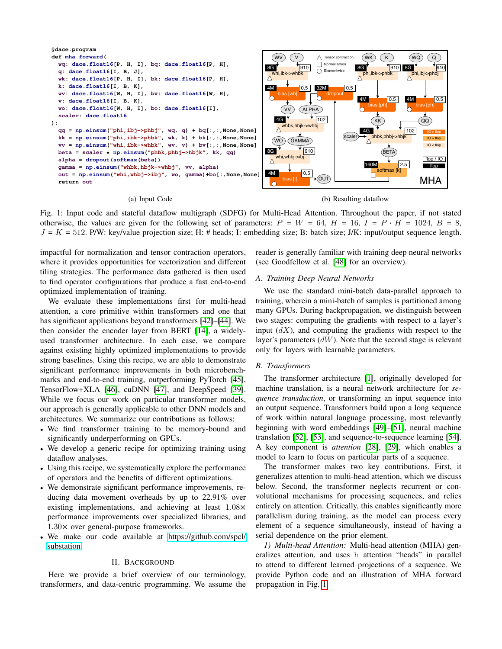<span id="page-1-0"></span>

### (a) Input Code

(b) Resulting dataflow

Fig. 1: Input code and stateful dataflow multigraph (SDFG) for Multi-Head Attention. Throughout the paper, if not stated otherwise, the values are given for the following set of parameters:  $P = W = 64$ ,  $H = 16$ ,  $I = P \cdot H = 1024$ ,  $B = 8$ ,  $J = K = 512$ . P/W: key/value projection size; H: # heads; I: embedding size; B: batch size; J/K: input/output sequence length.

impactful for normalization and tensor contraction operators, where it provides opportunities for vectorization and different tiling strategies. The performance data gathered is then used to find operator configurations that produce a fast end-to-end optimized implementation of training.

We evaluate these implementations first for multi-head attention, a core primitive within transformers and one that has significant applications beyond transformers [\[42\]](#page-12-9)–[\[44\]](#page-12-10). We then consider the encoder layer from BERT [\[14\]](#page-11-12), a widelyused transformer architecture. In each case, we compare against existing highly optimized implementations to provide strong baselines. Using this recipe, we are able to demonstrate significant performance improvements in both microbenchmarks and end-to-end training, outperforming PyTorch [\[45\]](#page-12-11), TensorFlow+XLA [\[46\]](#page-12-12), cuDNN [\[47\]](#page-12-13), and DeepSpeed [\[39\]](#page-12-6). While we focus our work on particular transformer models, our approach is generally applicable to other DNN models and architectures. We summarize our contributions as follows:

- We find transformer training to be memory-bound and significantly underperforming on GPUs.
- We develop a generic recipe for optimizing training using dataflow analyses.
- Using this recipe, we systematically explore the performance of operators and the benefits of different optimizations.
- We demonstrate significant performance improvements, reducing data movement overheads by up to 22.91% over existing implementations, and achieving at least 1.08× performance improvements over specialized libraries, and 1.30× over general-purpose frameworks.
- We make our code available at [https://github](https://github.com/spcl/substation).com/spcl/ [substation.](https://github.com/spcl/substation)

### II. BACKGROUND

Here we provide a brief overview of our terminology, transformers, and data-centric programming. We assume the reader is generally familiar with training deep neural networks (see Goodfellow et al. [\[48\]](#page-12-14) for an overview).

### *A. Training Deep Neural Networks*

We use the standard mini-batch data-parallel approach to training, wherein a mini-batch of samples is partitioned among many GPUs. During backpropagation, we distinguish between two stages: computing the gradients with respect to a layer's input  $(dX)$ , and computing the gradients with respect to the layer's parameters  $(dW)$ . Note that the second stage is relevant only for layers with learnable parameters.

### *B. Transformers*

The transformer architecture [\[1\]](#page-11-0), originally developed for machine translation, is a neural network architecture for *sequence transduction*, or transforming an input sequence into an output sequence. Transformers build upon a long sequence of work within natural language processing, most relevantly beginning with word embeddings [\[49\]](#page-12-15)–[\[51\]](#page-12-16), neural machine translation [\[52\]](#page-12-17), [\[53\]](#page-12-18), and sequence-to-sequence learning [\[54\]](#page-12-19). A key component is *attention* [\[28\]](#page-11-22), [\[29\]](#page-11-24), which enables a model to learn to focus on particular parts of a sequence.

The transformer makes two key contributions. First, it generalizes attention to multi-head attention, which we discuss below. Second, the transformer neglects recurrent or convolutional mechanisms for processing sequences, and relies entirely on attention. Critically, this enables significantly more parallelism during training, as the model can process every element of a sequence simultaneously, instead of having a serial dependence on the prior element.

*1) Multi-head Attention:* Multi-head attention (MHA) generalizes attention, and uses h attention "heads" in parallel to attend to different learned projections of a sequence. We provide Python code and an illustration of MHA forward propagation in Fig. [1.](#page-1-0)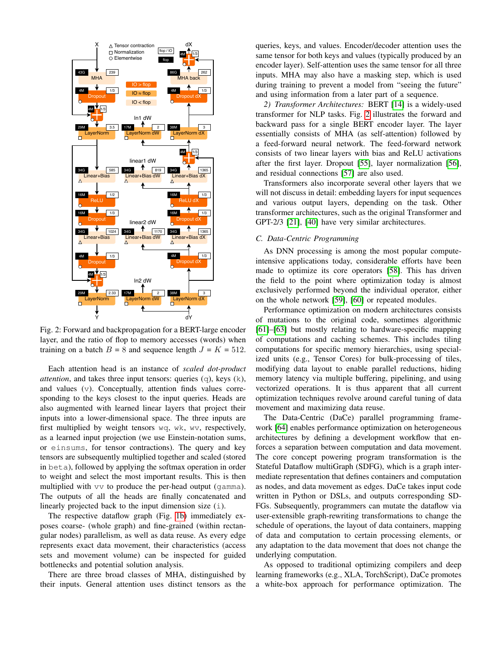<span id="page-2-0"></span>

Fig. 2: Forward and backpropagation for a BERT-large encoder layer, and the ratio of flop to memory accesses (words) when training on a batch  $B = 8$  and sequence length  $J = K = 512$ .

Each attention head is an instance of *scaled dot-product attention*, and takes three input tensors: queries (q), keys (k), and values (v). Conceptually, attention finds values corresponding to the keys closest to the input queries. Heads are also augmented with learned linear layers that project their inputs into a lower-dimensional space. The three inputs are first multiplied by weight tensors wq, wk, wv, respectively, as a learned input projection (we use Einstein-notation sums, or einsums, for tensor contractions). The query and key tensors are subsequently multiplied together and scaled (stored in beta), followed by applying the softmax operation in order to weight and select the most important results. This is then multiplied with vv to produce the per-head output (gamma). The outputs of all the heads are finally concatenated and linearly projected back to the input dimension size (i).

The respective dataflow graph (Fig. [1b\)](#page-1-0) immediately exposes coarse- (whole graph) and fine-grained (within rectangular nodes) parallelism, as well as data reuse. As every edge represents exact data movement, their characteristics (access sets and movement volume) can be inspected for guided bottlenecks and potential solution analysis.

There are three broad classes of MHA, distinguished by their inputs. General attention uses distinct tensors as the queries, keys, and values. Encoder/decoder attention uses the same tensor for both keys and values (typically produced by an encoder layer). Self-attention uses the same tensor for all three inputs. MHA may also have a masking step, which is used during training to prevent a model from "seeing the future" and using information from a later part of a sequence.

*2) Transformer Architectures:* BERT [\[14\]](#page-11-12) is a widely-used transformer for NLP tasks. Fig. [2](#page-2-0) illustrates the forward and backward pass for a single BERT encoder layer. The layer essentially consists of MHA (as self-attention) followed by a feed-forward neural network. The feed-forward network consists of two linear layers with bias and ReLU activations after the first layer. Dropout [\[55\]](#page-12-20), layer normalization [\[56\]](#page-12-21), and residual connections [\[57\]](#page-12-22) are also used.

Transformers also incorporate several other layers that we will not discuss in detail: embedding layers for input sequences and various output layers, depending on the task. Other transformer architectures, such as the original Transformer and GPT-2/3 [\[21\]](#page-11-25), [\[40\]](#page-12-7) have very similar architectures.

### *C. Data-Centric Programming*

As DNN processing is among the most popular computeintensive applications today, considerable efforts have been made to optimize its core operators [\[58\]](#page-12-23). This has driven the field to the point where optimization today is almost exclusively performed beyond the individual operator, either on the whole network [\[59\]](#page-12-24), [\[60\]](#page-12-25) or repeated modules.

Performance optimization on modern architectures consists of mutations to the original code, sometimes algorithmic [\[61\]](#page-12-26)–[\[63\]](#page-12-27) but mostly relating to hardware-specific mapping of computations and caching schemes. This includes tiling computations for specific memory hierarchies, using specialized units (e.g., Tensor Cores) for bulk-processing of tiles, modifying data layout to enable parallel reductions, hiding memory latency via multiple buffering, pipelining, and using vectorized operations. It is thus apparent that all current optimization techniques revolve around careful tuning of data movement and maximizing data reuse.

The Data-Centric (DaCe) parallel programming framework [\[64\]](#page-12-28) enables performance optimization on heterogeneous architectures by defining a development workflow that enforces a separation between computation and data movement. The core concept powering program transformation is the Stateful Dataflow multiGraph (SDFG), which is a graph intermediate representation that defines containers and computation as nodes, and data movement as edges. DaCe takes input code written in Python or DSLs, and outputs corresponding SD-FGs. Subsequently, programmers can mutate the dataflow via user-extensible graph-rewriting transformations to change the schedule of operations, the layout of data containers, mapping of data and computation to certain processing elements, or any adaptation to the data movement that does not change the underlying computation.

As opposed to traditional optimizing compilers and deep learning frameworks (e.g., XLA, TorchScript), DaCe promotes a white-box approach for performance optimization. The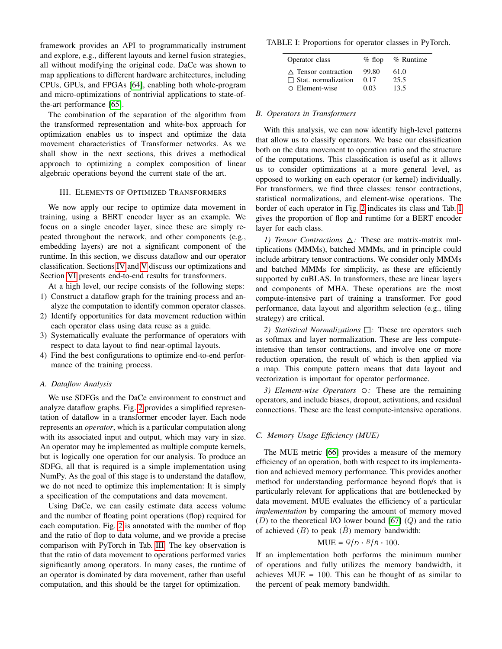framework provides an API to programmatically instrument and explore, e.g., different layouts and kernel fusion strategies, all without modifying the original code. DaCe was shown to map applications to different hardware architectures, including CPUs, GPUs, and FPGAs [\[64\]](#page-12-28), enabling both whole-program and micro-optimizations of nontrivial applications to state-ofthe-art performance [\[65\]](#page-12-29).

The combination of the separation of the algorithm from the transformed representation and white-box approach for optimization enables us to inspect and optimize the data movement characteristics of Transformer networks. As we shall show in the next sections, this drives a methodical approach to optimizing a complex composition of linear algebraic operations beyond the current state of the art.

### III. ELEMENTS OF OPTIMIZED TRANSFORMERS

We now apply our recipe to optimize data movement in training, using a BERT encoder layer as an example. We focus on a single encoder layer, since these are simply repeated throughout the network, and other components (e.g., embedding layers) are not a significant component of the runtime. In this section, we discuss dataflow and our operator classification. Sections [IV](#page-4-0) and [V](#page-5-0) discuss our optimizations and Section [VI](#page-8-0) presents end-to-end results for transformers.

At a high level, our recipe consists of the following steps:

- 1) Construct a dataflow graph for the training process and analyze the computation to identify common operator classes.
- 2) Identify opportunities for data movement reduction within each operator class using data reuse as a guide.
- 3) Systematically evaluate the performance of operators with respect to data layout to find near-optimal layouts.
- 4) Find the best configurations to optimize end-to-end performance of the training process.

### *A. Dataflow Analysis*

We use SDFGs and the DaCe environment to construct and analyze dataflow graphs. Fig. [2](#page-2-0) provides a simplified representation of dataflow in a transformer encoder layer. Each node represents an *operator*, which is a particular computation along with its associated input and output, which may vary in size. An operator may be implemented as multiple compute kernels, but is logically one operation for our analysis. To produce an SDFG, all that is required is a simple implementation using NumPy. As the goal of this stage is to understand the dataflow, we do not need to optimize this implementation: It is simply a specification of the computations and data movement.

Using DaCe, we can easily estimate data access volume and the number of floating point operations (flop) required for each computation. Fig. [2](#page-2-0) is annotated with the number of flop and the ratio of flop to data volume, and we provide a precise comparison with PyTorch in Tab. [III.](#page-6-0) The key observation is that the ratio of data movement to operations performed varies significantly among operators. In many cases, the runtime of an operator is dominated by data movement, rather than useful computation, and this should be the target for optimization.

<span id="page-3-0"></span>TABLE I: Proportions for operator classes in PyTorch.

| Operator class                 | $%$ flop | % Runtime |
|--------------------------------|----------|-----------|
| $\triangle$ Tensor contraction | 99.80    | 61.0      |
| $\Box$ Stat. normalization     | 0.17     | 25.5      |
| O Element-wise                 | 0.03     | 13.5      |

### *B. Operators in Transformers*

With this analysis, we can now identify high-level patterns that allow us to classify operators. We base our classification both on the data movement to operation ratio and the structure of the computations. This classification is useful as it allows us to consider optimizations at a more general level, as opposed to working on each operator (or kernel) individually. For transformers, we find three classes: tensor contractions, statistical normalizations, and element-wise operations. The border of each operator in Fig. [2](#page-2-0) indicates its class and Tab. [I](#page-3-0) gives the proportion of flop and runtime for a BERT encoder layer for each class.

*1) Tensor Contractions* △*:* These are matrix-matrix multiplications (MMMs), batched MMMs, and in principle could include arbitrary tensor contractions. We consider only MMMs and batched MMMs for simplicity, as these are efficiently supported by cuBLAS. In transformers, these are linear layers and components of MHA. These operations are the most compute-intensive part of training a transformer. For good performance, data layout and algorithm selection (e.g., tiling strategy) are critical.

*2) Statistical Normalizations* □*:* These are operators such as softmax and layer normalization. These are less computeintensive than tensor contractions, and involve one or more reduction operation, the result of which is then applied via a map. This compute pattern means that data layout and vectorization is important for operator performance.

*3) Element-wise Operators* ○*:* These are the remaining operators, and include biases, dropout, activations, and residual connections. These are the least compute-intensive operations.

### *C. Memory Usage Efficiency (MUE)*

The MUE metric [\[66\]](#page-12-30) provides a measure of the memory efficiency of an operation, both with respect to its implementation and achieved memory performance. This provides another method for understanding performance beyond flop/s that is particularly relevant for applications that are bottlenecked by data movement. MUE evaluates the efficiency of a particular *implementation* by comparing the amount of memory moved  $(D)$  to the theoretical I/O lower bound [\[67\]](#page-12-31)  $(Q)$  and the ratio of achieved  $(B)$  to peak  $(B)$  memory bandwidth:

## $MUE = Q/D \cdot B/\hat{B} \cdot 100.$

If an implementation both performs the minimum number of operations and fully utilizes the memory bandwidth, it achieves  $MUE = 100$ . This can be thought of as similar to the percent of peak memory bandwidth.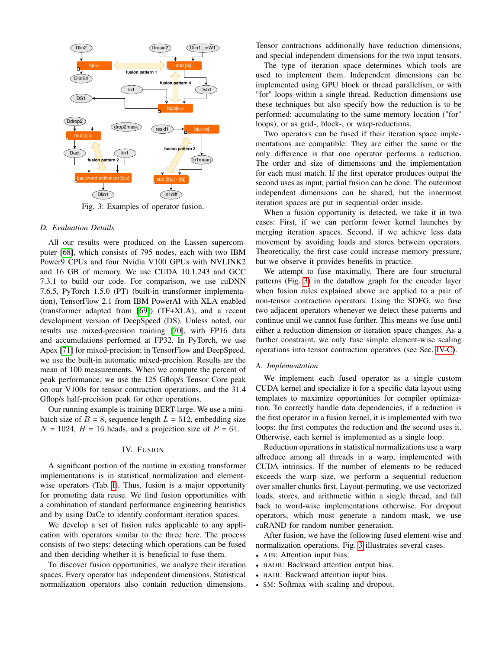<span id="page-4-1"></span>

Fig. 3: Examples of operator fusion.

### *D. Evaluation Details*

All our results were produced on the Lassen supercomputer [\[68\]](#page-12-32), which consists of 795 nodes, each with two IBM Power9 CPUs and four Nvidia V100 GPUs with NVLINK2 and 16 GB of memory. We use CUDA 10.1.243 and GCC 7.3.1 to build our code. For comparison, we use cuDNN 7.6.5, PyTorch 1.5.0 (PT) (built-in transformer implementation), TensorFlow 2.1 from IBM PowerAI with XLA enabled (transformer adapted from [\[69\]](#page-12-33)) (TF+XLA), and a recent development version of DeepSpeed (DS). Unless noted, our results use mixed-precision training [\[70\]](#page-12-34), with FP16 data and accumulations performed at FP32. In PyTorch, we use Apex [\[71\]](#page-12-35) for mixed-precision; in TensorFlow and DeepSpeed, we use the built-in automatic mixed-precision. Results are the mean of 100 measurements. When we compute the percent of peak performance, we use the 125 Gflop/s Tensor Core peak on our V100s for tensor contraction operations, and the 31.4 Gflop/s half-precision peak for other operations.

Our running example is training BERT-large. We use a minibatch size of  $B = 8$ , sequence length  $L = 512$ , embedding size  $N = 1024$ ,  $H = 16$  heads, and a projection size of  $P = 64$ .

### IV. FUSION

<span id="page-4-0"></span>A significant portion of the runtime in existing transformer implementations is in statistical normalization and elementwise operators (Tab. [I\)](#page-3-0). Thus, fusion is a major opportunity for promoting data reuse. We find fusion opportunities with a combination of standard performance engineering heuristics and by using DaCe to identify conformant iteration spaces.

We develop a set of fusion rules applicable to any application with operators similar to the three here. The process consists of two steps: detecting which operations can be fused and then deciding whether it is beneficial to fuse them.

To discover fusion opportunities, we analyze their iteration spaces. Every operator has independent dimensions. Statistical normalization operators also contain reduction dimensions. Tensor contractions additionally have reduction dimensions, and special independent dimensions for the two input tensors.

The type of iteration space determines which tools are used to implement them. Independent dimensions can be implemented using GPU block or thread parallelism, or with "for" loops within a single thread. Reduction dimensions use these techniques but also specify how the reduction is to be performed: accumulating to the same memory location ("for" loops), or as grid-, block-, or warp-reductions.

Two operators can be fused if their iteration space implementations are compatible: They are either the same or the only difference is that one operator performs a reduction. The order and size of dimensions and the implementation for each must match. If the first operator produces output the second uses as input, partial fusion can be done: The outermost independent dimensions can be shared, but the innermost iteration spaces are put in sequential order inside.

When a fusion opportunity is detected, we take it in two cases: First, if we can perform fewer kernel launches by merging iteration spaces. Second, if we achieve less data movement by avoiding loads and stores between operators. Theoretically, the first case could increase memory pressure, but we observe it provides benefits in practice.

We attempt to fuse maximally. There are four structural patterns (Fig. [3\)](#page-4-1) in the dataflow graph for the encoder layer when fusion rules explained above are applied to a pair of non-tensor contraction operators. Using the SDFG, we fuse two adjacent operators whenever we detect these patterns and continue until we cannot fuse further. This means we fuse until either a reduction dimension or iteration space changes. As a further constraint, we only fuse simple element-wise scaling operations into tensor contraction operators (see Sec. [IV-C\)](#page-5-1).

### *A. Implementation*

We implement each fused operator as a single custom CUDA kernel and specialize it for a specific data layout using templates to maximize opportunities for compiler optimization. To correctly handle data dependencies, if a reduction is the first operator in a fusion kernel, it is implemented with two loops: the first computes the reduction and the second uses it. Otherwise, each kernel is implemented as a single loop.

Reduction operations in statistical normalizations use a warp allreduce among all threads in a warp, implemented with CUDA intrinsics. If the number of elements to be reduced exceeds the warp size, we perform a sequential reduction over smaller chunks first. Layout-permuting, we use vectorized loads, stores, and arithmetic within a single thread, and fall back to word-wise implementations otherwise. For dropout operators, which must generate a random mask, we use cuRAND for random number generation.

After fusion, we have the following fused element-wise and normalization operations. Fig. [3](#page-4-1) illustrates several cases.

- AIB: Attention input bias.
- BAOB: Backward attention output bias.
- BAIB: Backward attention input bias.
- SM: Softmax with scaling and dropout.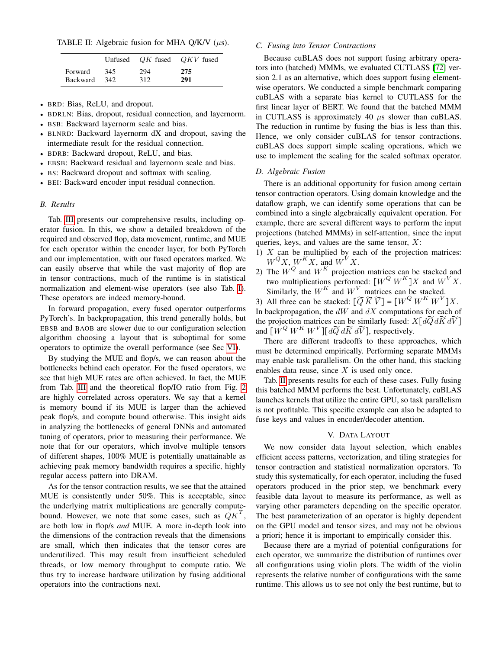<span id="page-5-2"></span>TABLE II: Algebraic fusion for MHA Q/K/V  $(\mu s)$ .

|                 |      |     | Unfused $QK$ fused $QKV$ fused |
|-----------------|------|-----|--------------------------------|
| Forward         | 345  | 294 | 275                            |
| <b>Backward</b> | -342 | 312 | 291                            |

- BRD: Bias, ReLU, and dropout.
- BDRLN: Bias, dropout, residual connection, and layernorm.
- BSB: Backward layernorm scale and bias.
- BLNRD: Backward layernorm dX and dropout, saving the intermediate result for the residual connection.
- BDRB: Backward dropout, ReLU, and bias.
- EBSB: Backward residual and layernorm scale and bias.
- BS: Backward dropout and softmax with scaling.
- BEI: Backward encoder input residual connection.

### *B. Results*

Tab. [III](#page-6-0) presents our comprehensive results, including operator fusion. In this, we show a detailed breakdown of the required and observed flop, data movement, runtime, and MUE for each operator within the encoder layer, for both PyTorch and our implementation, with our fused operators marked. We can easily observe that while the vast majority of flop are in tensor contractions, much of the runtime is in statistical normalization and element-wise operators (see also Tab. [I\)](#page-3-0). These operators are indeed memory-bound.

In forward propagation, every fused operator outperforms PyTorch's. In backpropagation, this trend generally holds, but EBSB and BAOB are slower due to our configuration selection algorithm choosing a layout that is suboptimal for some operators to optimize the overall performance (see Sec [VI\)](#page-8-0).

By studying the MUE and flop/s, we can reason about the bottlenecks behind each operator. For the fused operators, we see that high MUE rates are often achieved. In fact, the MUE from Tab. [III](#page-6-0) and the theoretical flop/IO ratio from Fig. [2](#page-2-0) are highly correlated across operators. We say that a kernel is memory bound if its MUE is larger than the achieved peak flop/s, and compute bound otherwise. This insight aids in analyzing the bottlenecks of general DNNs and automated tuning of operators, prior to measuring their performance. We note that for our operators, which involve multiple tensors of different shapes, 100% MUE is potentially unattainable as achieving peak memory bandwidth requires a specific, highly regular access pattern into DRAM.

As for the tensor contraction results, we see that the attained MUE is consistently under 50%. This is acceptable, since the underlying matrix multiplications are generally computebound. However, we note that some cases, such as  $\dot{Q}K^{T}$ , are both low in flop/s *and* MUE. A more in-depth look into the dimensions of the contraction reveals that the dimensions are small, which then indicates that the tensor cores are underutilized. This may result from insufficient scheduled threads, or low memory throughput to compute ratio. We thus try to increase hardware utilization by fusing additional operators into the contractions next.

### <span id="page-5-1"></span>*C. Fusing into Tensor Contractions*

Because cuBLAS does not support fusing arbitrary operators into (batched) MMMs, we evaluated CUTLASS [\[72\]](#page-13-0) version 2.1 as an alternative, which does support fusing elementwise operators. We conducted a simple benchmark comparing cuBLAS with a separate bias kernel to CUTLASS for the first linear layer of BERT. We found that the batched MMM in CUTLASS is approximately 40  $\mu$ s slower than cuBLAS. The reduction in runtime by fusing the bias is less than this. Hence, we only consider cuBLAS for tensor contractions. cuBLAS does support simple scaling operations, which we use to implement the scaling for the scaled softmax operator.

### *D. Algebraic Fusion*

There is an additional opportunity for fusion among certain tensor contraction operators. Using domain knowledge and the dataflow graph, we can identify some operations that can be combined into a single algebraically equivalent operation. For example, there are several different ways to perform the input projections (batched MMMs) in self-attention, since the input queries, keys, and values are the same tensor,  $X$ :

- 1)  $X$  can be multiplied by each of the projection matrices:  $W^{Q}X$ ,  $W^{K}X$ , and  $W^{V}X$ .
- 2) The  $W^{Q}$  and  $W^{K}$  projection matrices can be stacked and two multiplications performed:  $[W^Q W^K]X$  and  $W^V X$ . Similarly, the  $W^K$  and  $W^V$  matrices can be stacked.

3) All three can be stacked:  $[\widetilde{Q}\,\widetilde{K}\,\widetilde{V}] = [W^Q\,W^K\,W^V]X$ . In backpropagation, the  $dW$  and  $dX$  computations for each of the projection matrices can be similarly fused:  $X[d\widetilde{Q} d\widetilde{K} d\widetilde{V}]$ and  $\left[W^{Q} W^{K} W^{V}\right]$  [ $d\widetilde{Q} d\widetilde{K} d\widetilde{V}$ ], respectively.

There are different tradeoffs to these approaches, which must be determined empirically. Performing separate MMMs may enable task parallelism. On the other hand, this stacking enables data reuse, since X is used only once.

Tab. [II](#page-5-2) presents results for each of these cases. Fully fusing this batched MMM performs the best. Unfortunately, cuBLAS launches kernels that utilize the entire GPU, so task parallelism is not profitable. This specific example can also be adapted to fuse keys and values in encoder/decoder attention.

### V. DATA LAYOUT

<span id="page-5-0"></span>We now consider data layout selection, which enables efficient access patterns, vectorization, and tiling strategies for tensor contraction and statistical normalization operators. To study this systematically, for each operator, including the fused operators produced in the prior step, we benchmark every feasible data layout to measure its performance, as well as varying other parameters depending on the specific operator. The best parameterization of an operator is highly dependent on the GPU model and tensor sizes, and may not be obvious a priori; hence it is important to empirically consider this.

Because there are a myriad of potential configurations for each operator, we summarize the distribution of runtimes over all configurations using violin plots. The width of the violin represents the relative number of configurations with the same runtime. This allows us to see not only the best runtime, but to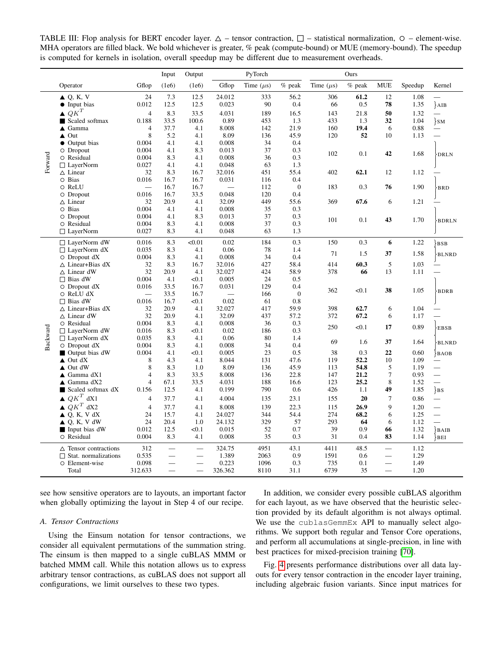<span id="page-6-0"></span>TABLE III: Flop analysis for BERT encoder layer.  $\Delta$  – tensor contraction,  $\Box$  – statistical normalization,  $\odot$  – element-wise. MHA operators are filled black. We bold whichever is greater, % peak (compute-bound) or MUE (memory-bound). The speedup is computed for kernels in isolation, overall speedup may be different due to measurement overheads.

|          |                                                     |                          | Input        | Output     |                 | PyTorch        |              |                | Ours     |                          |         |                          |
|----------|-----------------------------------------------------|--------------------------|--------------|------------|-----------------|----------------|--------------|----------------|----------|--------------------------|---------|--------------------------|
|          | Operator                                            | Gflop                    | (1e6)        | (1e6)      | Gflop           | Time $(\mu s)$ | $%$ peak     | Time $(\mu s)$ | $%$ peak | <b>MUE</b>               | Speedup | Kernel                   |
|          | $\triangle$ Q, K, V                                 | 24                       | 7.3          | 12.5       | 24.012          | 333            | 56.2         | 306            | 61.2     | 12                       | 1.08    |                          |
|          | Input bias<br>$\bullet$                             | 0.012                    | 12.5         | 12.5       | 0.023           | 90             | 0.4          | 66             | 0.5      | 78                       | 1.35    | $\overline{AB}$          |
|          | $QK^T$<br>▲                                         | $\overline{4}$           | 8.3          | 33.5       | 4.031           | 189            | 16.5         | 143            | 21.8     | 50                       | 1.32    | $\overline{\phantom{0}}$ |
|          | Scaled softmax<br>п                                 | 0.188                    | 33.5         | 100.6      | 0.89            | 453            | 1.3          | 433            | 1.3      | 32                       | 1.04    | $\}$ SM                  |
|          | Gamma<br>▲                                          | 4                        | 37.7         | 4.1        | 8.008           | 142            | 21.9         | 160            | 19.4     | 6                        | 0.88    |                          |
|          | Out<br>▲                                            | 8                        | 5.2          | 4.1        | 8.09            | 136            | 45.9         | 120            | 52       | 10                       | 1.13    |                          |
|          | Output bias<br>$\bullet$                            | 0.004                    | 4.1          | 4.1        | 0.008           | 34             | 0.4          |                |          |                          |         |                          |
|          | $\circ$ Dropout                                     | 0.004                    | 4.1          | 8.3        | 0.013           | 37             | 0.3          | 102            | 0.1      | 42                       | 1.68    | <b>DRLN</b>              |
|          | O Residual                                          | 0.004                    | 8.3          | 4.1        | 0.008           | 36             | 0.3          |                |          |                          |         |                          |
| Forward  | $\Box$ LayerNorm                                    | 0.027                    | 4.1          | 4.1        | 0.048           | 63             | 1.3          |                |          |                          |         |                          |
|          | $\triangle$ Linear                                  | 32                       | 8.3          | 16.7       | 32.016          | 451            | 55.4         | 402            | 62.1     | 12                       | 1.12    |                          |
|          | O Bias                                              | 0.016                    | 16.7         | 16.7       | 0.031           | 116            | 0.4          |                |          |                          |         |                          |
|          | O ReLU                                              |                          | 16.7         | 16.7       |                 | 112            | $\mathbf{0}$ | 183            | 0.3      | 76                       | 1.90    | ·BRD                     |
|          | O Dropout                                           | 0.016                    | 16.7         | 33.5       | 0.048           | 120            | 0.4          |                |          |                          |         |                          |
|          | $\triangle$ Linear                                  | 32                       | 20.9         | 4.1        | 32.09           | 449            | 55.6         | 369            | 67.6     | 6                        | 1.21    |                          |
|          | O Bias                                              | 0.004                    | 4.1<br>4.1   | 4.1        | 0.008           | 35             | 0.3<br>0.3   |                |          |                          |         |                          |
|          | $\circ$ Dropout<br>O Residual                       | 0.004<br>0.004           | 8.3          | 8.3<br>4.1 | 0.013<br>0.008  | 37<br>37       | 0.3          | 101            | 0.1      | 43                       | 1.70    | <b>BDRLN</b>             |
|          | $\Box$ LayerNorm                                    | 0.027                    | 8.3          | 4.1        | 0.048           | 63             | 1.3          |                |          |                          |         |                          |
|          |                                                     |                          |              |            |                 |                |              |                |          |                          |         |                          |
|          | □ LayerNorm dW                                      | 0.016                    | 8.3          | < 0.01     | 0.02            | 184            | 0.3          | 150            | 0.3      | 6                        | 1.22    | }BSB                     |
|          | $\Box$ LayerNorm dX                                 | 0.035                    | 8.3          | 4.1        | 0.06            | 78             | 1.4          | 71             | 1.5      | 37                       | 1.58    | <b>BLNRD</b>             |
|          | $\circ$ Dropout dX                                  | 0.004                    | 8.3          | 4.1        | 0.008           | 34             | 0.4          |                |          |                          |         |                          |
|          | $\triangle$ Linear+Bias dX                          | 32                       | 8.3          | 16.7       | 32.016          | 427            | 58.4         | 414            | 60.3     | 5                        | 1.03    |                          |
|          | $\Delta$ Linear dW                                  | 32                       | 20.9         | 4.1        | 32.027          | 424            | 58.9         | 378            | 66       | 13                       | 1.11    |                          |
|          | $\Box$ Bias dW                                      | 0.004                    | 4.1          | < 0.1      | 0.005           | 24             | 0.5          |                |          |                          |         |                          |
|          | $\circ$ Dropout dX                                  | 0.016                    | 33.5         | 16.7       | 0.031           | 129            | 0.4          | 362            | < 0.1    | 38                       | 1.05    | <b>BDRB</b>              |
|          | O ReLU dX                                           |                          | 33.5         | 16.7       |                 | 166            | $\mathbf{0}$ |                |          |                          |         |                          |
|          | $\Box$ Bias dW                                      | 0.016                    | 16.7<br>20.9 | < 0.1      | 0.02            | 61<br>417      | 0.8<br>59.9  | 398            | 62.7     | 6                        | 1.04    |                          |
|          | $\triangle$ Linear+Bias dX<br>$\triangle$ Linear dW | 32<br>32                 | 20.9         | 4.1<br>4.1 | 32.027<br>32.09 | 437            | 57.2         | 372            | 67.2     |                          | 1.17    | $\overline{\phantom{0}}$ |
|          | O Residual                                          | 0.004                    | 8.3          | 4.1        | 0.008           | 36             | 0.3          |                |          | 6                        |         |                          |
|          | $\Box$ LayerNorm dW                                 | 0.016                    | 8.3          | < 0.1      | 0.02            | 186            | 0.3          | 250            | < 0.1    | 17                       | 0.89    | <b>EBSB</b>              |
| Backward | $\Box$ LayerNorm dX                                 | 0.035                    | 8.3          | 4.1        | 0.06            | 80             | 1.4          |                |          |                          |         |                          |
|          | Dropout dX<br>O                                     | 0.004                    | 8.3          | 4.1        | 0.008           | 34             | 0.4          | 69             | 1.6      | 37                       | 1.64    | <b>BLNRD</b>             |
|          | Output bias dW<br>П                                 | 0.004                    | 4.1          | < 0.1      | 0.005           | 23             | 0.5          | 38             | 0.3      | 22                       | 0.60    | BAOB                     |
|          | Out dX<br>▲                                         | 8                        | 4.3          | 4.1        | 8.044           | 131            | 47.6         | 119            | 52.2     | 10                       | 1.09    | $\overline{\phantom{0}}$ |
|          | Out dW<br>▲                                         | 8                        | 8.3          | 1.0        | 8.09            | 136            | 45.9         | 113            | 54.8     | 5                        | 1.19    |                          |
|          | Gamma dX1<br>▲                                      | 4                        | 8.3          | 33.5       | 8.008           | 136            | 22.8         | 147            | 21.2     | 7                        | 0.93    | $\overline{\phantom{0}}$ |
|          | Gamma dX2<br>▲                                      | $\overline{\mathcal{L}}$ | 67.1         | 33.5       | 4.031           | 188            | 16.6         | 123            | 25.2     | 8                        | 1.52    | $\overline{\phantom{0}}$ |
|          | Scaled softmax dX<br>п                              | 0.156                    | 12.5         | 4.1        | 0.199           | 790            | 0.6          | 426            | 1.1      | 49                       | 1.85    | $\}$ BS                  |
|          | $\triangle QK^T dX1$                                | $\overline{4}$           | 37.7         | 4.1        | 4.004           | 135            | 23.1         | 155            | 20       | $\tau$                   | 0.86    |                          |
|          | $\triangle QK^T dX2$                                | $\overline{4}$           | 37.7         | 4.1        | 8.008           | 139            | 22.3         | 115            | 26.9     | 9                        | 1.20    | $\overline{\phantom{0}}$ |
|          | $\triangle Q$ , K, V dX                             | 24                       | 15.7         | 4.1        | 24.027          | 344            | 54.4         | 274            | 68.2     | 6                        | 1.25    |                          |
|          | $Q, K, V$ dW<br>▲                                   | 24                       | 20.4         | 1.0        | 24.132          | 329            | 57           | 293            | 64       | 6                        | 1.12    | $\overline{\phantom{0}}$ |
|          | Input bias dW<br>П                                  | 0.012                    | 12.5         | < 0.1      | 0.015           | 52             | 0.7          | 39             | 0.9      | 66                       | 1.32    | }BAIB                    |
|          | O Residual                                          | 0.004                    | 8.3          | 4.1        | 0.008           | 35             | 0.3          | 31             | 0.4      | 83                       | 1.14    | BEI                      |
|          |                                                     |                          |              |            |                 |                |              |                |          |                          |         |                          |
|          | $\triangle$ Tensor contractions                     | 312                      |              |            | 324.75          | 4951           | 43.1         | 4411           | 48.5     |                          | 1.12    |                          |
|          | Stat. normalizations<br>□                           | 0.535                    |              |            | 1.389           | 2063           | 0.9          | 1591           | 0.6      | $\overline{\phantom{0}}$ | 1.29    |                          |
|          | O Element-wise                                      | 0.098                    |              | $\equiv$   | 0.223           | 1096           | 0.3          | 735            | 0.1      | $\overline{\phantom{0}}$ | 1.49    |                          |
|          | Total                                               | 312.633                  |              |            | 326.362         | 8110           | 31.1         | 6739           | 35       | $\overline{\phantom{0}}$ | 1.20    |                          |

see how sensitive operators are to layouts, an important factor when globally optimizing the layout in Step 4 of our recipe.

### *A. Tensor Contractions*

Using the Einsum notation for tensor contractions, we consider all equivalent permutations of the summation string. The einsum is then mapped to a single cuBLAS MMM or batched MMM call. While this notation allows us to express arbitrary tensor contractions, as cuBLAS does not support all configurations, we limit ourselves to these two types.

In addition, we consider every possible cuBLAS algorithm for each layout, as we have observed that the heuristic selection provided by its default algorithm is not always optimal. We use the cublasGemmEx API to manually select algorithms. We support both regular and Tensor Core operations, and perform all accumulations at single-precision, in line with best practices for mixed-precision training [\[70\]](#page-12-34).

Fig. [4](#page-7-0) presents performance distributions over all data layouts for every tensor contraction in the encoder layer training, including algebraic fusion variants. Since input matrices for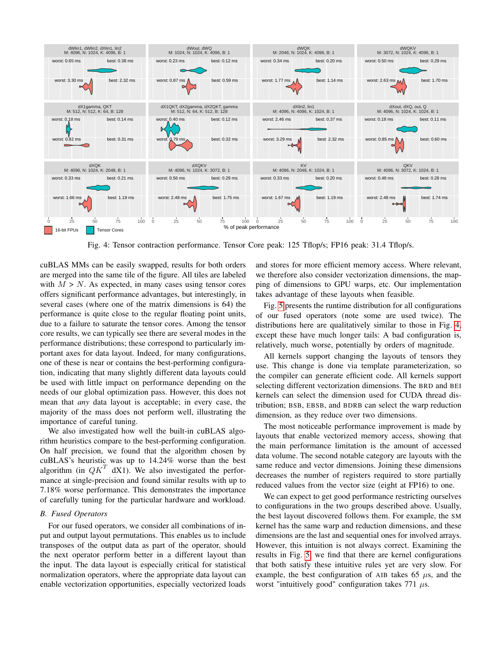<span id="page-7-0"></span>

Fig. 4: Tensor contraction performance. Tensor Core peak: 125 Tflop/s; FP16 peak: 31.4 Tflop/s.

cuBLAS MMs can be easily swapped, results for both orders are merged into the same tile of the figure. All tiles are labeled with  $M > N$ . As expected, in many cases using tensor cores offers significant performance advantages, but interestingly, in several cases (where one of the matrix dimensions is 64) the performance is quite close to the regular floating point units, due to a failure to saturate the tensor cores. Among the tensor core results, we can typically see there are several modes in the performance distributions; these correspond to particularly important axes for data layout. Indeed, for many configurations, one of these is near or contains the best-performing configuration, indicating that many slightly different data layouts could be used with little impact on performance depending on the needs of our global optimization pass. However, this does not mean that *any* data layout is acceptable; in every case, the majority of the mass does not perform well, illustrating the importance of careful tuning.

We also investigated how well the built-in cuBLAS algorithm heuristics compare to the best-performing configuration. On half precision, we found that the algorithm chosen by cuBLAS's heuristic was up to 14.24% worse than the best algorithm (in  $QK^T$  dX1). We also investigated the performance at single-precision and found similar results with up to 7.18% worse performance. This demonstrates the importance of carefully tuning for the particular hardware and workload.

### *B. Fused Operators*

For our fused operators, we consider all combinations of input and output layout permutations. This enables us to include transposes of the output data as part of the operator, should the next operator perform better in a different layout than the input. The data layout is especially critical for statistical normalization operators, where the appropriate data layout can enable vectorization opportunities, especially vectorized loads

and stores for more efficient memory access. Where relevant, we therefore also consider vectorization dimensions, the mapping of dimensions to GPU warps, etc. Our implementation takes advantage of these layouts when feasible.

Fig. [5](#page-8-1) presents the runtime distribution for all configurations of our fused operators (note some are used twice). The distributions here are qualitatively similar to those in Fig. [4,](#page-7-0) except these have much longer tails: A bad configuration is, relatively, much worse, potentially by orders of magnitude.

All kernels support changing the layouts of tensors they use. This change is done via template parameterization, so the compiler can generate efficient code. All kernels support selecting different vectorization dimensions. The BRD and BEI kernels can select the dimension used for CUDA thread distribution; BSB, EBSB, and BDRB can select the warp reduction dimension, as they reduce over two dimensions.

The most noticeable performance improvement is made by layouts that enable vectorized memory access, showing that the main performance limitation is the amount of accessed data volume. The second notable category are layouts with the same reduce and vector dimensions. Joining these dimensions decreases the number of registers required to store partially reduced values from the vector size (eight at FP16) to one.

We can expect to get good performance restricting ourselves to configurations in the two groups described above. Usually, the best layout discovered follows them. For example, the SM kernel has the same warp and reduction dimensions, and these dimensions are the last and sequential ones for involved arrays. However, this intuition is not always correct. Examining the results in Fig. [5,](#page-8-1) we find that there are kernel configurations that both satisfy these intuitive rules yet are very slow. For example, the best configuration of AIB takes 65  $\mu$ s, and the worst "intuitively good" configuration takes 771  $\mu$ s.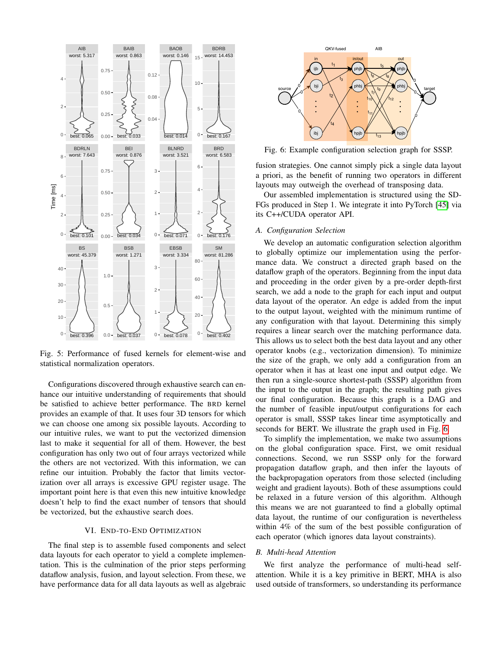<span id="page-8-1"></span>

Fig. 5: Performance of fused kernels for element-wise and statistical normalization operators.

Configurations discovered through exhaustive search can enhance our intuitive understanding of requirements that should be satisfied to achieve better performance. The BRD kernel provides an example of that. It uses four 3D tensors for which we can choose one among six possible layouts. According to our intuitive rules, we want to put the vectorized dimension last to make it sequential for all of them. However, the best configuration has only two out of four arrays vectorized while the others are not vectorized. With this information, we can refine our intuition. Probably the factor that limits vectorization over all arrays is excessive GPU register usage. The important point here is that even this new intuitive knowledge doesn't help to find the exact number of tensors that should be vectorized, but the exhaustive search does.

### VI. END-TO-END OPTIMIZATION

<span id="page-8-0"></span>The final step is to assemble fused components and select data layouts for each operator to yield a complete implementation. This is the culmination of the prior steps performing dataflow analysis, fusion, and layout selection. From these, we have performance data for all data layouts as well as algebraic

<span id="page-8-2"></span>

Fig. 6: Example configuration selection graph for SSSP.

fusion strategies. One cannot simply pick a single data layout a priori, as the benefit of running two operators in different layouts may outweigh the overhead of transposing data.

Our assembled implementation is structured using the SD-FGs produced in Step 1. We integrate it into PyTorch [\[45\]](#page-12-11) via its C++/CUDA operator API.

### <span id="page-8-3"></span>*A. Configuration Selection*

We develop an automatic configuration selection algorithm to globally optimize our implementation using the performance data. We construct a directed graph based on the dataflow graph of the operators. Beginning from the input data and proceeding in the order given by a pre-order depth-first search, we add a node to the graph for each input and output data layout of the operator. An edge is added from the input to the output layout, weighted with the minimum runtime of any configuration with that layout. Determining this simply requires a linear search over the matching performance data. This allows us to select both the best data layout and any other operator knobs (e.g., vectorization dimension). To minimize the size of the graph, we only add a configuration from an operator when it has at least one input and output edge. We then run a single-source shortest-path (SSSP) algorithm from the input to the output in the graph; the resulting path gives our final configuration. Because this graph is a DAG and the number of feasible input/output configurations for each operator is small, SSSP takes linear time asymptotically and seconds for BERT. We illustrate the graph used in Fig. [6.](#page-8-2)

To simplify the implementation, we make two assumptions on the global configuration space. First, we omit residual connections. Second, we run SSSP only for the forward propagation dataflow graph, and then infer the layouts of the backpropagation operators from those selected (including weight and gradient layouts). Both of these assumptions could be relaxed in a future version of this algorithm. Although this means we are not guaranteed to find a globally optimal data layout, the runtime of our configuration is nevertheless within 4% of the sum of the best possible configuration of each operator (which ignores data layout constraints).

### *B. Multi-head Attention*

We first analyze the performance of multi-head selfattention. While it is a key primitive in BERT, MHA is also used outside of transformers, so understanding its performance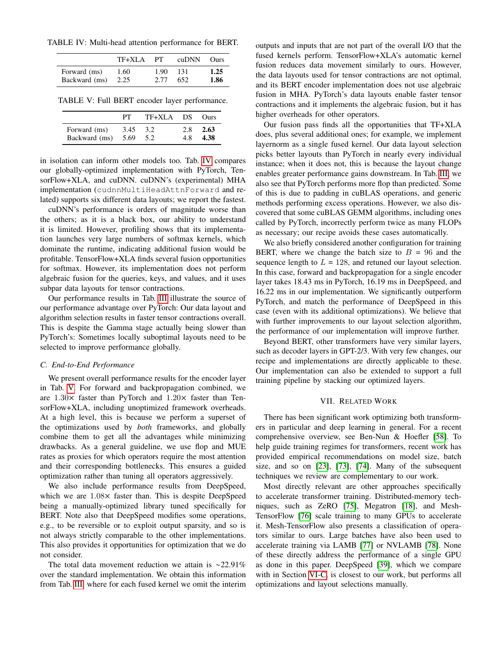<span id="page-9-0"></span>TABLE IV: Multi-head attention performance for BERT.

|               | TF+XLA | PТ   | cuDNN Ours |      |
|---------------|--------|------|------------|------|
| Forward (ms)  | 1.60   | 1.90 | 131        | 1.25 |
| Backward (ms) | 2.25   | 2.77 | 652        | 1.86 |

<span id="page-9-1"></span>TABLE V: Full BERT encoder layer performance.

|               | PТ   | $TF+XLA$ DS |     | <b>Ours</b> |
|---------------|------|-------------|-----|-------------|
| Forward (ms)  | 3.45 | 3.2         | 2.8 | 2.63        |
| Backward (ms) | 5.69 | 5.2         | 4.8 | 4.38        |

in isolation can inform other models too. Tab. [IV](#page-9-0) compares our globally-optimized implementation with PyTorch, TensorFlow+XLA, and cuDNN. cuDNN's (experimental) MHA implementation (cudnnMultiHeadAttnForward and related) supports six different data layouts; we report the fastest.

cuDNN's performance is orders of magnitude worse than the others; as it is a black box, our ability to understand it is limited. However, profiling shows that its implementation launches very large numbers of softmax kernels, which dominate the runtime, indicating additional fusion would be profitable. TensorFlow+XLA finds several fusion opportunities for softmax. However, its implementation does not perform algebraic fusion for the queries, keys, and values, and it uses subpar data layouts for tensor contractions.

Our performance results in Tab. [III](#page-6-0) illustrate the source of our performance advantage over PyTorch: Our data layout and algorithm selection results in faster tensor contractions overall. This is despite the Gamma stage actually being slower than PyTorch's: Sometimes locally suboptimal layouts need to be selected to improve performance globally.

### <span id="page-9-2"></span>*C. End-to-End Performance*

We present overall performance results for the encoder layer in Tab. [V.](#page-9-1) For forward and backpropagation combined, we are  $1.30\times$  faster than PyTorch and  $1.20\times$  faster than TensorFlow+XLA, including unoptimized framework overheads. At a high level, this is because we perform a superset of the optimizations used by *both* frameworks, and globally combine them to get all the advantages while minimizing drawbacks. As a general guideline, we use flop and MUE rates as proxies for which operators require the most attention and their corresponding bottlenecks. This ensures a guided optimization rather than tuning all operators aggressively.

We also include performance results from DeepSpeed, which we are  $1.08\times$  faster than. This is despite DeepSpeed being a manually-optimized library tuned specifically for BERT. Note also that DeepSpeed modifies some operations, e.g., to be reversible or to exploit output sparsity, and so is not always strictly comparable to the other implementations. This also provides it opportunities for optimization that we do not consider.

The total data movement reduction we attain is ∼22.91% over the standard implementation. We obtain this information from Tab. [III,](#page-6-0) where for each fused kernel we omit the interim

outputs and inputs that are not part of the overall I/O that the fused kernels perform. TensorFlow+XLA's automatic kernel fusion reduces data movement similarly to ours. However, the data layouts used for tensor contractions are not optimal, and its BERT encoder implementation does not use algebraic fusion in MHA. PyTorch's data layouts enable faster tensor contractions and it implements the algebraic fusion, but it has higher overheads for other operators.

Our fusion pass finds all the opportunities that TF+XLA does, plus several additional ones; for example, we implement layernorm as a single fused kernel. Our data layout selection picks better layouts than PyTorch in nearly every individual instance; when it does not, this is because the layout change enables greater performance gains downstream. In Tab. [III,](#page-6-0) we also see that PyTorch performs more flop than predicted. Some of this is due to padding in cuBLAS operations, and generic methods performing excess operations. However, we also discovered that some cuBLAS GEMM algorithms, including ones called by PyTorch, incorrectly perform twice as many FLOPs as necessary; our recipe avoids these cases automatically.

We also briefly considered another configuration for training BERT, where we change the batch size to  $B = 96$  and the sequence length to  $L = 128$ , and retuned our layout selection. In this case, forward and backpropagation for a single encoder layer takes 18.43 ms in PyTorch, 16.19 ms in DeepSpeed, and 16.22 ms in our implementation. We significantly outperform PyTorch, and match the performance of DeepSpeed in this case (even with its additional optimizations). We believe that with further improvements to our layout selection algorithm, the performance of our implementation will improve further.

Beyond BERT, other transformers have very similar layers, such as decoder layers in GPT-2/3. With very few changes, our recipe and implementations are directly applicable to these. Our implementation can also be extended to support a full training pipeline by stacking our optimized layers.

### VII. RELATED WORK

There has been significant work optimizing both transformers in particular and deep learning in general. For a recent comprehensive overview, see Ben-Nun & Hoefler [\[58\]](#page-12-23). To help guide training regimes for transformers, recent work has provided empirical recommendations on model size, batch size, and so on [\[23\]](#page-11-17), [\[73\]](#page-13-1), [\[74\]](#page-13-2). Many of the subsequent techniques we review are complementary to our work.

Most directly relevant are other approaches specifically to accelerate transformer training. Distributed-memory techniques, such as ZeRO [\[75\]](#page-13-3), Megatron [\[18\]](#page-11-14), and Mesh-TensorFlow [\[76\]](#page-13-4) scale training to many GPUs to accelerate it. Mesh-TensorFlow also presents a classification of operators similar to ours. Large batches have also been used to accelerate training via LAMB [\[77\]](#page-13-5) or NVLAMB [\[78\]](#page-13-6). None of these directly address the performance of a single GPU as done in this paper. DeepSpeed [\[39\]](#page-12-6), which we compare with in Section [VI-C,](#page-9-2) is closest to our work, but performs all optimizations and layout selections manually.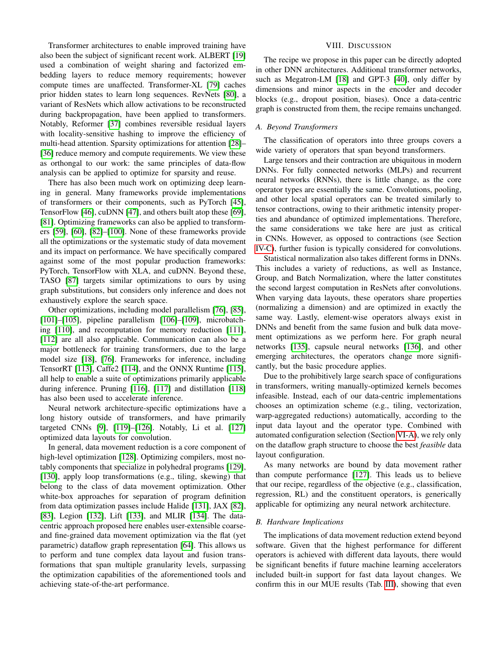Transformer architectures to enable improved training have also been the subject of significant recent work. ALBERT [\[19\]](#page-11-23) used a combination of weight sharing and factorized embedding layers to reduce memory requirements; however compute times are unaffected. Transformer-XL [\[79\]](#page-13-7) caches prior hidden states to learn long sequences. RevNets [\[80\]](#page-13-8), a variant of ResNets which allow activations to be reconstructed during backpropagation, have been applied to transformers. Notably, Reformer [\[37\]](#page-12-4) combines reversible residual layers with locality-sensitive hashing to improve the efficiency of multi-head attention. Sparsity optimizations for attention [\[28\]](#page-11-22)– [\[36\]](#page-12-3) reduce memory and compute requirements. We view these as orthongal to our work: the same principles of data-flow analysis can be applied to optimize for sparsity and reuse.

There has also been much work on optimizing deep learning in general. Many frameworks provide implementations of transformers or their components, such as PyTorch [\[45\]](#page-12-11), TensorFlow [\[46\]](#page-12-12), cuDNN [\[47\]](#page-12-13), and others built atop these [\[69\]](#page-12-33), [\[81\]](#page-13-9). Optimizing frameworks can also be applied to transformers [\[59\]](#page-12-24), [\[60\]](#page-12-25), [\[82\]](#page-13-10)–[\[100\]](#page-13-11). None of these frameworks provide all the optimizations or the systematic study of data movement and its impact on performance. We have specifically compared against some of the most popular production frameworks: PyTorch, TensorFlow with XLA, and cuDNN. Beyond these, TASO [\[87\]](#page-13-12) targets similar optimizations to ours by using graph substitutions, but considers only inference and does not exhaustively explore the search space.

Other optimizations, including model parallelism [\[76\]](#page-13-4), [\[85\]](#page-13-13), [\[101\]](#page-13-14)–[\[105\]](#page-13-15), pipeline parallelism [\[106\]](#page-13-16)–[\[109\]](#page-13-17), microbatching [\[110\]](#page-13-18), and recomputation for memory reduction [\[111\]](#page-14-0), [\[112\]](#page-14-1) are all also applicable. Communication can also be a major bottleneck for training transformers, due to the large model size [\[18\]](#page-11-14), [\[76\]](#page-13-4). Frameworks for inference, including TensorRT [\[113\]](#page-14-2), Caffe2 [\[114\]](#page-14-3), and the ONNX Runtime [\[115\]](#page-14-4), all help to enable a suite of optimizations primarily applicable during inference. Pruning [\[116\]](#page-14-5), [\[117\]](#page-14-6) and distillation [\[118\]](#page-14-7) has also been used to accelerate inference.

Neural network architecture-specific optimizations have a long history outside of transformers, and have primarily targeted CNNs [\[9\]](#page-11-7), [\[119\]](#page-14-8)–[\[126\]](#page-14-9). Notably, Li et al. [\[127\]](#page-14-10) optimized data layouts for convolution.

In general, data movement reduction is a core component of high-level optimization [\[128\]](#page-14-11). Optimizing compilers, most notably components that specialize in polyhedral programs [\[129\]](#page-14-12), [\[130\]](#page-14-13), apply loop transformations (e.g., tiling, skewing) that belong to the class of data movement optimization. Other white-box approaches for separation of program definition from data optimization passes include Halide [\[131\]](#page-14-14), JAX [\[82\]](#page-13-10), [\[83\]](#page-13-19), Legion [\[132\]](#page-14-15), Lift [\[133\]](#page-14-16), and MLIR [\[134\]](#page-14-17). The datacentric approach proposed here enables user-extensible coarseand fine-grained data movement optimization via the flat (yet parametric) dataflow graph representation [\[64\]](#page-12-28). This allows us to perform and tune complex data layout and fusion transformations that span multiple granularity levels, surpassing the optimization capabilities of the aforementioned tools and achieving state-of-the-art performance.

### VIII. DISCUSSION

The recipe we propose in this paper can be directly adopted in other DNN architectures. Additional transformer networks, such as Megatron-LM [\[18\]](#page-11-14) and GPT-3 [\[40\]](#page-12-7), only differ by dimensions and minor aspects in the encoder and decoder blocks (e.g., dropout position, biases). Once a data-centric graph is constructed from them, the recipe remains unchanged.

### *A. Beyond Transformers*

The classification of operators into three groups covers a wide variety of operators that span beyond transformers.

Large tensors and their contraction are ubiquitous in modern DNNs. For fully connected networks (MLPs) and recurrent neural networks (RNNs), there is little change, as the core operator types are essentially the same. Convolutions, pooling, and other local spatial operators can be treated similarly to tensor contractions, owing to their arithmetic intensity properties and abundance of optimized implementations. Therefore, the same considerations we take here are just as critical in CNNs. However, as opposed to contractions (see Section [IV-C\)](#page-5-1), further fusion is typically considered for convolutions.

Statistical normalization also takes different forms in DNNs. This includes a variety of reductions, as well as Instance, Group, and Batch Normalization, where the latter constitutes the second largest computation in ResNets after convolutions. When varying data layouts, these operators share properties (normalizing a dimension) and are optimized in exactly the same way. Lastly, element-wise operators always exist in DNNs and benefit from the same fusion and bulk data movement optimizations as we perform here. For graph neural networks [\[135\]](#page-14-18), capsule neural networks [\[136\]](#page-14-19), and other emerging architectures, the operators change more significantly, but the basic procedure applies.

Due to the prohibitively large search space of configurations in transformers, writing manually-optimized kernels becomes infeasible. Instead, each of our data-centric implementations chooses an optimization scheme (e.g., tiling, vectorization, warp-aggregated reductions) automatically, according to the input data layout and the operator type. Combined with automated configuration selection (Section [VI-A\)](#page-8-3), we rely only on the dataflow graph structure to choose the best *feasible* data layout configuration.

As many networks are bound by data movement rather than compute performance [\[127\]](#page-14-10). This leads us to believe that our recipe, regardless of the objective (e.g., classification, regression, RL) and the constituent operators, is generically applicable for optimizing any neural network architecture.

### *B. Hardware Implications*

The implications of data movement reduction extend beyond software. Given that the highest performance for different operators is achieved with different data layouts, there would be significant benefits if future machine learning accelerators included built-in support for fast data layout changes. We confirm this in our MUE results (Tab. [III\)](#page-6-0), showing that even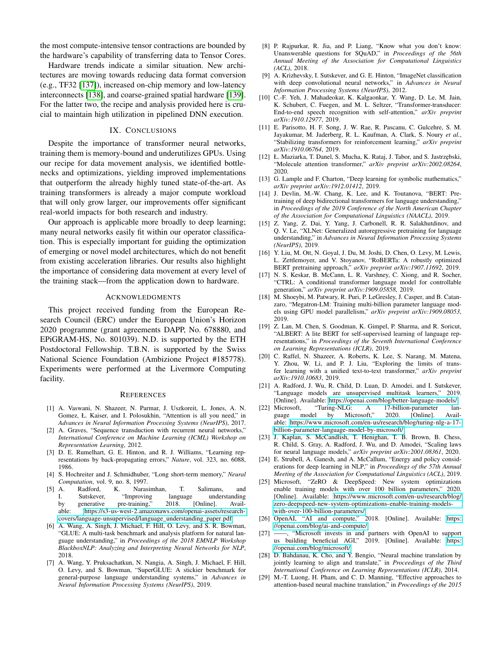the most compute-intensive tensor contractions are bounded by the hardware's capability of transferring data to Tensor Cores.

Hardware trends indicate a similar situation. New architectures are moving towards reducing data format conversion (e.g., TF32 [\[137\]](#page-14-20)), increased on-chip memory and low-latency interconnects [\[138\]](#page-14-21), and coarse-grained spatial hardware [\[139\]](#page-14-22). For the latter two, the recipe and analysis provided here is crucial to maintain high utilization in pipelined DNN execution.

### IX. CONCLUSIONS

Despite the importance of transformer neural networks, training them is memory-bound and underutilizes GPUs. Using our recipe for data movement analysis, we identified bottlenecks and optimizations, yielding improved implementations that outperform the already highly tuned state-of-the-art. As training transformers is already a major compute workload that will only grow larger, our improvements offer significant real-world impacts for both research and industry.

Our approach is applicable more broadly to deep learning; many neural networks easily fit within our operator classification. This is especially important for guiding the optimization of emerging or novel model architectures, which do not benefit from existing acceleration libraries. Our results also highlight the importance of considering data movement at every level of the training stack—from the application down to hardware.

### ACKNOWLEDGMENTS

This project received funding from the European Research Council (ERC) under the European Union's Horizon 2020 programme (grant agreements DAPP, No. 678880, and EPiGRAM-HS, No. 801039). N.D. is supported by the ETH Postdoctoral Fellowship. T.B.N. is supported by the Swiss National Science Foundation (Ambizione Project #185778). Experiments were performed at the Livermore Computing facility.

### **REFERENCES**

- <span id="page-11-0"></span>[1] A. Vaswani, N. Shazeer, N. Parmar, J. Uszkoreit, L. Jones, A. N. Gomez, Ł. Kaiser, and I. Polosukhin, "Attention is all you need," in *Advances in Neural Information Processing Systems (NeurIPS)*, 2017.
- <span id="page-11-1"></span>[2] A. Graves, "Sequence transduction with recurrent neural networks," *International Conference on Machine Learning (ICML) Workshop on Representation Learning*, 2012.
- <span id="page-11-2"></span>[3] D. E. Rumelhart, G. E. Hinton, and R. J. Williams, "Learning representations by back-propagating errors," *Nature*, vol. 323, no. 6088, 1986.
- <span id="page-11-3"></span>[4] S. Hochreiter and J. Schmidhuber, "Long short-term memory," *Neural Computation*, vol. 9, no. 8, 1997.
- <span id="page-11-4"></span>[5] A. Radford, K. Narasimhan, T. Salimans, and I. Sutskever, "Improving language understanding<br>by generative pre-training," 2018. [Online]. Availby generative pre-training," 2018. [Online]. Available: https://s3-us-west-2.amazonaws.[com/openai-assets/research](https://s3-us-west-2.amazonaws.com/openai-assets/research-covers/language-unsupervised/language_understanding_paper.pdf)[covers/language-unsupervised/language\\_understanding\\_paper](https://s3-us-west-2.amazonaws.com/openai-assets/research-covers/language-unsupervised/language_understanding_paper.pdf).pdf
- [6] A. Wang, A. Singh, J. Michael, F. Hill, O. Levy, and S. R. Bowman, "GLUE: A multi-task benchmark and analysis platform for natural language understanding," in *Proceedings of the 2018 EMNLP Workshop BlackboxNLP: Analyzing and Interpreting Neural Networks for NLP*, 2018.
- <span id="page-11-5"></span>[7] A. Wang, Y. Pruksachatkun, N. Nangia, A. Singh, J. Michael, F. Hill, O. Levy, and S. Bowman, "SuperGLUE: A stickier benchmark for general-purpose language understanding systems," in *Advances in Neural Information Processing Systems (NeurIPS)*, 2019.
- <span id="page-11-6"></span>[8] P. Rajpurkar, R. Jia, and P. Liang, "Know what you don't know: Unanswerable questions for SQuAD," in *Proceedings of the 56th Annual Meeting of the Association for Computational Linguistics (ACL)*, 2018.
- <span id="page-11-7"></span>[9] A. Krizhevsky, I. Sutskever, and G. E. Hinton, "ImageNet classification with deep convolutional neural networks," in *Advances in Neural Information Processing Systems (NeurIPS)*, 2012.
- <span id="page-11-8"></span>[10] C.-F. Yeh, J. Mahadeokar, K. Kalgaonkar, Y. Wang, D. Le, M. Jain, K. Schubert, C. Fuegen, and M. L. Seltzer, "Transformer-transducer: End-to-end speech recognition with self-attention," *arXiv preprint arXiv:1910.12977*, 2019.
- <span id="page-11-9"></span>[11] E. Parisotto, H. F. Song, J. W. Rae, R. Pascanu, C. Gulcehre, S. M. Jayakumar, M. Jaderberg, R. L. Kaufman, A. Clark, S. Noury *et al.*, "Stabilizing transformers for reinforcement learning," *arXiv preprint arXiv:1910.06764*, 2019.
- <span id="page-11-10"></span>[12] Ł. Maziarka, T. Danel, S. Mucha, K. Rataj, J. Tabor, and S. Jastrzębski, "Molecule attention transformer," *arXiv preprint arXiv:2002.08264*, 2020.
- <span id="page-11-11"></span>[13] G. Lample and F. Charton, "Deep learning for symbolic mathematics," *arXiv preprint arXiv:1912.01412*, 2019.
- <span id="page-11-12"></span>[14] J. Devlin, M.-W. Chang, K. Lee, and K. Toutanova, "BERT: Pretraining of deep bidirectional transformers for language understanding," in *Proceedings of the 2019 Conference of the North American Chapter of the Association for Computational Linguistics (NAACL)*, 2019.
- [15] Z. Yang, Z. Dai, Y. Yang, J. Carbonell, R. R. Salakhutdinov, and Q. V. Le, "XLNet: Generalized autoregressive pretraining for language understanding," in *Advances in Neural Information Processing Systems (NeurIPS)*, 2019.
- <span id="page-11-16"></span>[16] Y. Liu, M. Ott, N. Goyal, J. Du, M. Joshi, D. Chen, O. Levy, M. Lewis, L. Zettlemoyer, and V. Stoyanov, "RoBERTa: A robustly optimized BERT pretraining approach," *arXiv preprint arXiv:1907.11692*, 2019.
- [17] N. S. Keskar, B. McCann, L. R. Varshney, C. Xiong, and R. Socher, "CTRL: A conditional transformer language model for controllable generation," *arXiv preprint arXiv:1909.05858*, 2019.
- <span id="page-11-14"></span>[18] M. Shoeybi, M. Patwary, R. Puri, P. LeGresley, J. Casper, and B. Catanzaro, "Megatron-LM: Training multi-billion parameter language models using GPU model parallelism," *arXiv preprint arXiv:1909.08053*, 2019.
- <span id="page-11-23"></span>[19] Z. Lan, M. Chen, S. Goodman, K. Gimpel, P. Sharma, and R. Soricut, "ALBERT: A lite BERT for self-supervised learning of language representations," in *Proceedings of the Seventh International Conference on Learning Representations (ICLR)*, 2019.
- <span id="page-11-13"></span>[20] C. Raffel, N. Shazeer, A. Roberts, K. Lee, S. Narang, M. Matena, Y. Zhou, W. Li, and P. J. Liu, "Exploring the limits of transfer learning with a unified text-to-text transformer," *arXiv preprint arXiv:1910.10683*, 2019.
- <span id="page-11-25"></span>[21] A. Radford, J. Wu, R. Child, D. Luan, D. Amodei, and I. Sutskever, "Language models are unsupervised multitask learners," 2019. [Online]. Available: https://openai.[com/blog/better-language-models/](https://openai.com/blog/better-language-models/)
- <span id="page-11-15"></span>[22] Microsoft, "Turing-NLG: A 17-billion-parameter language model by Microsoft," 2020. [Online]. Available: https://www.microsoft.[com/en-us/research/blog/turing-nlg-a-17](https://www.microsoft.com/en-us/research/blog/turing-nlg-a-17-billion-parameter-language-model-by-microsoft/) [billion-parameter-language-model-by-microsoft/](https://www.microsoft.com/en-us/research/blog/turing-nlg-a-17-billion-parameter-language-model-by-microsoft/)
- <span id="page-11-17"></span>[23] J. Kaplan, S. McCandlish, T. Henighan, T. B. Brown, B. Chess, R. Child, S. Gray, A. Radford, J. Wu, and D. Amodei, "Scaling laws for neural language models," *arXiv preprint arXiv:2001.08361*, 2020.
- <span id="page-11-18"></span>[24] E. Strubell, A. Ganesh, and A. McCallum, "Energy and policy considerations for deep learning in NLP," in *Proceedings of the 57th Annual Meeting of the Association for Computational Linguistics (ACL)*, 2019.
- <span id="page-11-19"></span>[25] Microsoft, "ZeRO & DeepSpeed: New system optimizations enable training models with over 100 billion parameters," 2020. [Online]. Available: https://www.microsoft.[com/en-us/research/blog/](https://www.microsoft.com/en-us/research/blog/zero-deepspeed-new-system-optimizations-enable-training-models-with-over-100-billion-parameters/) [zero-deepspeed-new-system-optimizations-enable-training-models](https://www.microsoft.com/en-us/research/blog/zero-deepspeed-new-system-optimizations-enable-training-models-with-over-100-billion-parameters/)[with-over-100-billion-parameters/](https://www.microsoft.com/en-us/research/blog/zero-deepspeed-new-system-optimizations-enable-training-models-with-over-100-billion-parameters/)
- <span id="page-11-20"></span>[26] OpenAI, "AI and compute," 2018. [Online]. Available: [https:](https://openai.com/blog/ai-and-compute/) //openai.[com/blog/ai-and-compute/](https://openai.com/blog/ai-and-compute/)
- <span id="page-11-21"></span>[27] ——, "Microsoft invests in and partners with OpenAI to support us building beneficial AGI," 2019. [Online]. Available: [https:](https://openai.com/blog/microsoft/) //openai.[com/blog/microsoft/](https://openai.com/blog/microsoft/)
- <span id="page-11-22"></span>[28] D. Bahdanau, K. Cho, and Y. Bengio, "Neural machine translation by jointly learning to align and translate," in *Proceedings of the Third International Conference on Learning Representations (ICLR)*, 2014.
- <span id="page-11-24"></span>[29] M.-T. Luong, H. Pham, and C. D. Manning, "Effective approaches to attention-based neural machine translation," in *Proceedings of the 2015*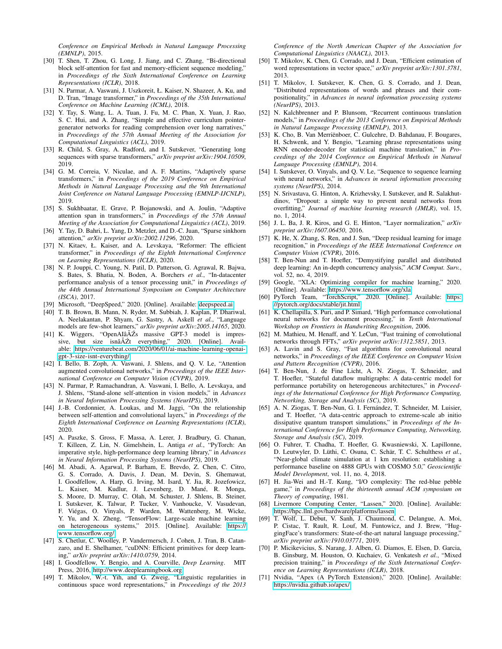*Conference on Empirical Methods in Natural Language Processing (EMNLP)*, 2015.

- [30] T. Shen, T. Zhou, G. Long, J. Jiang, and C. Zhang, "Bi-directional block self-attention for fast and memory-efficient sequence modeling," in *Proceedings of the Sixth International Conference on Learning Representations (ICLR)*, 2018.
- [31] N. Parmar, A. Vaswani, J. Uszkoreit, Ł. Kaiser, N. Shazeer, A. Ku, and D. Tran, "Image transformer," in *Proceedings of the 35th International Conference on Machine Learning (ICML)*, 2018.
- <span id="page-12-0"></span>[32] Y. Tay, S. Wang, L. A. Tuan, J. Fu, M. C. Phan, X. Yuan, J. Rao, S. C. Hui, and A. Zhang, "Simple and effective curriculum pointergenerator networks for reading comprehension over long narratives," in *Proceedings of the 57th Annual Meeting of the Association for Computational Linguistics (ACL)*, 2019.
- <span id="page-12-1"></span>[33] R. Child, S. Gray, A. Radford, and I. Sutskever, "Generating long sequences with sparse transformers," *arXiv preprint arXiv:1904.10509*, 2019.
- <span id="page-12-2"></span>[34] G. M. Correia, V. Niculae, and A. F. Martins, "Adaptively sparse transformers," in *Proceedings of the 2019 Conference on Empirical Methods in Natural Language Processing and the 9th International Joint Conference on Natural Language Processing (EMNLP-IJCNLP)*, 2019.
- [35] S. Sukhbaatar, E. Grave, P. Bojanowski, and A. Joulin, "Adaptive attention span in transformers," in *Proceedings of the 57th Annual Meeting of the Association for Computational Linguistics (ACL)*, 2019.
- <span id="page-12-3"></span>[36] Y. Tay, D. Bahri, L. Yang, D. Metzler, and D.-C. Juan, "Sparse sinkhorn attention," *arXiv preprint arXiv:2002.11296*, 2020.
- <span id="page-12-4"></span>[37] N. Kitaev, Ł. Kaiser, and A. Levskaya, "Reformer: The efficient transformer," in *Proceedings of the Eighth International Conference on Learning Representations (ICLR)*, 2020.
- <span id="page-12-5"></span>[38] N. P. Jouppi, C. Young, N. Patil, D. Patterson, G. Agrawal, R. Bajwa, S. Bates, S. Bhatia, N. Boden, A. Borchers *et al.*, "In-datacenter performance analysis of a tensor processing unit," in *Proceedings of the 44th Annual International Symposium on Computer Architecture (ISCA)*, 2017.
- <span id="page-12-6"></span>[39] Microsoft, "DeepSpeed," 2020. [Online]. Available: [deepspeed](deepspeed.ai).ai
- <span id="page-12-7"></span>[40] T. B. Brown, B. Mann, N. Ryder, M. Subbiah, J. Kaplan, P. Dhariwal, A. Neelakantan, P. Shyam, G. Sastry, A. Askell *et al.*, "Language models are few-shot learners," *arXiv preprint arXiv:2005.14165*, 2020.
- <span id="page-12-8"></span>[41] K. Wiggers, "OpenAIâĂŹs massive GPT-3 model is impressive, but size isnâĂŹt everything," 2020. [Online]. Available: https://venturebeat.[com/2020/06/01/ai-machine-learning-openai](https://venturebeat.com/2020/06/01/ai-machine-learning-openai-gpt-3-size-isnt-everything/)[gpt-3-size-isnt-everything/](https://venturebeat.com/2020/06/01/ai-machine-learning-openai-gpt-3-size-isnt-everything/)
- <span id="page-12-9"></span>[42] I. Bello, B. Zoph, A. Vaswani, J. Shlens, and Q. V. Le, "Attention augmented convolutional networks," in *Proceedings of the IEEE International Conference on Computer Vision (CVPR)*, 2019.
- [43] N. Parmar, P. Ramachandran, A. Vaswani, I. Bello, A. Levskaya, and J. Shlens, "Stand-alone self-attention in vision models," in *Advances in Neural Information Processing Systems (NeurIPS)*, 2019.
- <span id="page-12-10"></span>[44] J.-B. Cordonnier, A. Loukas, and M. Jaggi, "On the relationship between self-attention and convolutional layers," in *Proceedings of the Eighth International Conference on Learning Representations (ICLR)*, 2020.
- <span id="page-12-11"></span>[45] A. Paszke, S. Gross, F. Massa, A. Lerer, J. Bradbury, G. Chanan, T. Killeen, Z. Lin, N. Gimelshein, L. Antiga *et al.*, "PyTorch: An imperative style, high-performance deep learning library," in *Advances in Neural Information Processing Systems (NeurIPS)*, 2019.
- <span id="page-12-12"></span>[46] M. Abadi, A. Agarwal, P. Barham, E. Brevdo, Z. Chen, C. Citro, G. S. Corrado, A. Davis, J. Dean, M. Devin, S. Ghemawat, I. Goodfellow, A. Harp, G. Irving, M. Isard, Y. Jia, R. Jozefowicz, L. Kaiser, M. Kudlur, J. Levenberg, D. Mané, R. Monga, S. Moore, D. Murray, C. Olah, M. Schuster, J. Shlens, B. Steiner, I. Sutskever, K. Talwar, P. Tucker, V. Vanhoucke, V. Vasudevan, F. Viégas, O. Vinyals, P. Warden, M. Wattenberg, M. Wicke, Y. Yu, and X. Zheng, "TensorFlow: Large-scale machine learning on heterogeneous systems," 2015. [Online]. Available: [https://](https://www.tensorflow.org/) www.[tensorflow](https://www.tensorflow.org/).org/
- <span id="page-12-13"></span>[47] S. Chetlur, C. Woolley, P. Vandermersch, J. Cohen, J. Tran, B. Catanzaro, and E. Shelhamer, "cuDNN: Efficient primitives for deep learning," *arXiv preprint arXiv:1410.0759*, 2014.
- <span id="page-12-14"></span>[48] I. Goodfellow, Y. Bengio, and A. Courville, *Deep Learning*. MIT Press, 2016, http://www.[deeplearningbook](http://www.deeplearningbook.org).org.
- <span id="page-12-15"></span>[49] T. Mikolov, W.-t. Yih, and G. Zweig, "Linguistic regularities in continuous space word representations," in *Proceedings of the 2013*

*Conference of the North American Chapter of the Association for Computational Linguistics (NAACL)*, 2013.

- [50] T. Mikolov, K. Chen, G. Corrado, and J. Dean, "Efficient estimation of word representations in vector space," *arXiv preprint arXiv:1301.3781*, 2013.
- <span id="page-12-16"></span>[51] T. Mikolov, I. Sutskever, K. Chen, G. S. Corrado, and J. Dean, "Distributed representations of words and phrases and their compositionality," in *Advances in neural information processing systems (NeurIPS)*, 2013.
- <span id="page-12-17"></span>[52] N. Kalchbrenner and P. Blunsom, "Recurrent continuous translation models," in *Proceedings of the 2013 Conference on Empirical Methods in Natural Language Processing (EMNLP)*, 2013.
- <span id="page-12-18"></span>[53] K. Cho, B. Van Merriënboer, C. Gulcehre, D. Bahdanau, F. Bougares, H. Schwenk, and Y. Bengio, "Learning phrase representations using RNN encoder-decoder for statistical machine translation," in *Proceedings of the 2014 Conference on Empirical Methods in Natural Language Processing (EMNLP)*, 2014.
- <span id="page-12-19"></span>[54] I. Sutskever, O. Vinyals, and Q. V. Le, "Sequence to sequence learning with neural networks," in *Advances in neural information processing systems (NeurIPS)*, 2014.
- <span id="page-12-20"></span>[55] N. Srivastava, G. Hinton, A. Krizhevsky, I. Sutskever, and R. Salakhutdinov, "Dropout: a simple way to prevent neural networks from overfitting," *Journal of machine learning research (JMLR)*, vol. 15, no. 1, 2014.
- <span id="page-12-21"></span>[56] J. L. Ba, J. R. Kiros, and G. E. Hinton, "Layer normalization," *arXiv preprint arXiv:1607.06450*, 2016.
- <span id="page-12-22"></span>[57] K. He, X. Zhang, S. Ren, and J. Sun, "Deep residual learning for image recognition," in *Proceedings of the IEEE International Conference on Computer Vision (CVPR)*, 2016.
- <span id="page-12-23"></span>[58] T. Ben-Nun and T. Hoefler, "Demystifying parallel and distributed deep learning: An in-depth concurrency analysis," *ACM Comput. Surv.*, vol. 52, no. 4, 2019.
- <span id="page-12-24"></span>[59] Google, "XLA: Optimizing compiler for machine learning," 2020. [Online]. Available: [https://www](https://www.tensorflow.org/xla).tensorflow.org/xla
- <span id="page-12-25"></span>[60] PyTorch Team, "TorchScript," 2020. [Online]. Available: [https:](https://pytorch.org/docs/stable/jit.html) //pytorch.[org/docs/stable/jit](https://pytorch.org/docs/stable/jit.html).html
- <span id="page-12-26"></span>[61] K. Chellapilla, S. Puri, and P. Simard, "High performance convolutional neural networks for document processing," in *Tenth International Workshop on Frontiers in Handwriting Recognition*, 2006.
- [62] M. Mathieu, M. Henaff, and Y. LeCun, "Fast training of convolutional networks through FFTs," *arXiv preprint arXiv:1312.5851*, 2013.
- <span id="page-12-27"></span>[63] A. Lavin and S. Gray, "Fast algorithms for convolutional neural networks," in *Proceedings of the IEEE Conference on Computer Vision and Pattern Recognition (CVPR)*, 2016.
- <span id="page-12-28"></span>[64] T. Ben-Nun, J. de Fine Licht, A. N. Ziogas, T. Schneider, and T. Hoefler, "Stateful dataflow multigraphs: A data-centric model for performance portability on heterogeneous architectures," in *Proceedings of the International Conference for High Performance Computing, Networking, Storage and Analysis (SC)*, 2019.
- <span id="page-12-29"></span>[65] A. N. Ziogas, T. Ben-Nun, G. I. Fernández, T. Schneider, M. Luisier, and T. Hoefler, "A data-centric approach to extreme-scale ab initio dissipative quantum transport simulations," in *Proceedings of the International Conference for High Performance Computing, Networking, Storage and Analysis (SC)*, 2019.
- <span id="page-12-30"></span>[66] O. Fuhrer, T. Chadha, T. Hoefler, G. Kwasniewski, X. Lapillonne, D. Leutwyler, D. Lüthi, C. Osuna, C. Schär, T. C. Schulthess *et al.*, "Near-global climate simulation at 1 km resolution: establishing a performance baseline on 4888 GPUs with COSMO 5.0," *Geoscientific Model Development*, vol. 11, no. 4, 2018.
- <span id="page-12-31"></span>[67] H. Jia-Wei and H.-T. Kung, "I/O complexity: The red-blue pebble game," in *Proceedings of the thirteenth annual ACM symposium on Theory of computing*, 1981.
- <span id="page-12-32"></span>[68] Livermore Computing Center, "Lassen," 2020. [Online]. Available: https://hpc.llnl.[gov/hardware/platforms/lassen](https://hpc.llnl.gov/hardware/platforms/lassen)
- <span id="page-12-33"></span>[69] T. Wolf, L. Debut, V. Sanh, J. Chaumond, C. Delangue, A. Moi, P. Cistac, T. Rault, R. Louf, M. Funtowicz, and J. Brew, "HuggingFace's transformers: State-of-the-art natural language processing," *arXiv preprint arXiv:1910.03771*, 2019.
- <span id="page-12-34"></span>[70] P. Micikevicius, S. Narang, J. Alben, G. Diamos, E. Elsen, D. Garcia, B. Ginsburg, M. Houston, O. Kuchaiev, G. Venkatesh *et al.*, "Mixed precision training," in *Proceedings of the Sixth International Conference on Learning Representations (ICLR)*, 2018.
- <span id="page-12-35"></span>[71] Nvidia, "Apex (A PyTorch Extension)," 2020. [Online]. Available: [https://nvidia](https://nvidia.github.io/apex/).github.io/apex/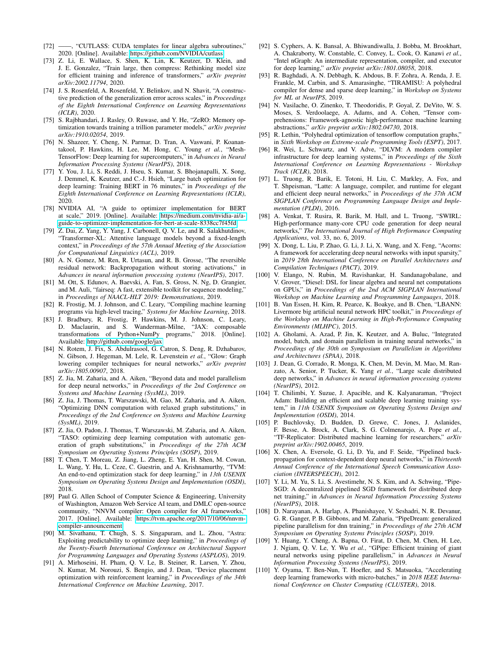- <span id="page-13-0"></span>[72] ——, "CUTLASS: CUDA templates for linear algebra subroutines," 2020. [Online]. Available: https://github.[com/NVIDIA/cutlass](https://github.com/NVIDIA/cutlass)
- <span id="page-13-1"></span>[73] Z. Li, E. Wallace, S. Shen, K. Lin, K. Keutzer, D. Klein, and J. E. Gonzalez, "Train large, then compress: Rethinking model size for efficient training and inference of transformers," *arXiv preprint arXiv:2002.11794*, 2020.
- <span id="page-13-2"></span>[74] J. S. Rosenfeld, A. Rosenfeld, Y. Belinkov, and N. Shavit, "A constructive prediction of the generalization error across scales," in *Proceedings of the Eighth International Conference on Learning Representations (ICLR)*, 2020.
- <span id="page-13-3"></span>[75] S. Rajbhandari, J. Rasley, O. Ruwase, and Y. He, "ZeRO: Memory optimization towards training a trillion parameter models," *arXiv preprint arXiv:1910.02054*, 2019.
- <span id="page-13-4"></span>[76] N. Shazeer, Y. Cheng, N. Parmar, D. Tran, A. Vaswani, P. Koanantakool, P. Hawkins, H. Lee, M. Hong, C. Young *et al.*, "Mesh-TensorFlow: Deep learning for supercomputers," in *Advances in Neural Information Processing Systems (NeurIPS)*, 2018.
- <span id="page-13-5"></span>[77] Y. You, J. Li, S. Reddi, J. Hseu, S. Kumar, S. Bhojanapalli, X. Song, J. Demmel, K. Keutzer, and C.-J. Hsieh, "Large batch optimization for deep learning: Training BERT in 76 minutes," in *Proceedings of the Eighth International Conference on Learning Representations (ICLR)*, 2020.
- <span id="page-13-6"></span>[78] NVIDIA AI, "A guide to optimizer implementation for BERT at scale," 2019. [Online]. Available: https://medium.[com/nvidia-ai/a](https://medium.com/nvidia-ai/a-guide-to-optimizer-implementation-for-bert-at-scale-8338cc7f45fd)[guide-to-optimizer-implementation-for-bert-at-scale-8338cc7f45fd](https://medium.com/nvidia-ai/a-guide-to-optimizer-implementation-for-bert-at-scale-8338cc7f45fd)
- <span id="page-13-7"></span>[79] Z. Dai, Z. Yang, Y. Yang, J. Carbonell, Q. V. Le, and R. Salakhutdinov, "Transformer-XL: Attentive language models beyond a fixed-length context," in *Proceedings of the 57th Annual Meeting of the Association for Computational Linguistics (ACL)*, 2019.
- <span id="page-13-8"></span>[80] A. N. Gomez, M. Ren, R. Urtasun, and R. B. Grosse, "The reversible residual network: Backpropagation without storing activations," in *Advances in neural information processing systems (NeurIPS)*, 2017.
- <span id="page-13-9"></span>[81] M. Ott, S. Edunov, A. Baevski, A. Fan, S. Gross, N. Ng, D. Grangier, and M. Auli, "fairseq: A fast, extensible toolkit for sequence modeling," in *Proceedings of NAACL-HLT 2019: Demonstrations*, 2019.
- <span id="page-13-10"></span>[82] R. Frostig, M. J. Johnson, and C. Leary, "Compiling machine learning programs via high-level tracing," *Systems for Machine Learning*, 2018.
- <span id="page-13-19"></span>[83] J. Bradbury, R. Frostig, P. Hawkins, M. J. Johnson, C. Leary, D. Maclaurin, and S. Wanderman-Milne, "JAX: composable transformations of Python+NumPy programs," 2018. [Online]. Available: http://github.[com/google/jax](http://github.com/google/jax)
- [84] N. Rotem, J. Fix, S. Abdulrasool, G. Catron, S. Deng, R. Dzhabarov, N. Gibson, J. Hegeman, M. Lele, R. Levenstein *et al.*, "Glow: Graph lowering compiler techniques for neural networks," *arXiv preprint arXiv:1805.00907*, 2018.
- <span id="page-13-13"></span>[85] Z. Jia, M. Zaharia, and A. Aiken, "Beyond data and model parallelism for deep neural networks," in *Proceedings of the 2nd Conference on Systems and Machine Learning (SysML)*, 2019.
- [86] Z. Jia, J. Thomas, T. Warszawski, M. Gao, M. Zaharia, and A. Aiken, "Optimizing DNN computation with relaxed graph substitutions," in *Proceedings of the 2nd Conference on Systems and Machine Learning (SysML)*, 2019.
- <span id="page-13-12"></span>[87] Z. Jia, O. Padon, J. Thomas, T. Warszawski, M. Zaharia, and A. Aiken, "TASO: optimizing deep learning computation with automatic generation of graph substitutions," in *Proceedings of the 27th ACM Symposium on Operating Systems Principles (SOSP)*, 2019.
- [88] T. Chen, T. Moreau, Z. Jiang, L. Zheng, E. Yan, H. Shen, M. Cowan, L. Wang, Y. Hu, L. Ceze, C. Guestrin, and A. Krishnamurthy, "TVM: An end-to-end optimization stack for deep learning," in *13th USENIX Symposium on Operating Systems Design and Implementation (OSDI)*, 2018.
- [89] Paul G. Allen School of Computer Science & Engineering, University of Washington, Amazon Web Service AI team, and DMLC open-source community, "NNVM compiler: Open compiler for AI frameworks," 2017. [Online]. Available: https://tvm.apache.[org/2017/10/06/nnvm](https://tvm.apache.org/2017/10/06/nnvm-compiler-announcement)[compiler-announcement](https://tvm.apache.org/2017/10/06/nnvm-compiler-announcement)
- [90] M. Sivathanu, T. Chugh, S. S. Singapuram, and L. Zhou, "Astra: Exploiting predictability to optimize deep learning," in *Proceedings of the Twenty-Fourth International Conference on Architectural Support for Programming Languages and Operating Systems (ASPLOS)*, 2019.
- [91] A. Mirhoseini, H. Pham, Q. V. Le, B. Steiner, R. Larsen, Y. Zhou, N. Kumar, M. Norouzi, S. Bengio, and J. Dean, "Device placement optimization with reinforcement learning," in *Proceedings of the 34th International Conference on Machine Learning*, 2017.
- [92] S. Cyphers, A. K. Bansal, A. Bhiwandiwalla, J. Bobba, M. Brookhart, A. Chakraborty, W. Constable, C. Convey, L. Cook, O. Kanawi *et al.*, "Intel nGraph: An intermediate representation, compiler, and executor for deep learning," *arXiv preprint arXiv:1801.08058*, 2018.
- [93] R. Baghdadi, A. N. Debbagh, K. Abdous, B. F. Zohra, A. Renda, J. E. Frankle, M. Carbin, and S. Amarasinghe, "TIRAMISU: A polyhedral compiler for dense and sparse deep learning," in *Workshop on Systems for ML at NeurIPS*, 2019.
- [94] N. Vasilache, O. Zinenko, T. Theodoridis, P. Goyal, Z. DeVito, W. S. Moses, S. Verdoolaege, A. Adams, and A. Cohen, "Tensor comprehensions: Framework-agnostic high-performance machine learning abstractions," *arXiv preprint arXiv:1802.04730*, 2018.
- [95] R. Lethin, "Polyhedral optimization of tensorflow computation graphs," in *Sixth Workshop on Extreme-scale Programming Tools (ESPT)*, 2017.
- [96] R. Wei, L. Schwartz, and V. Adve, "DLVM: A modern compiler infrastructure for deep learning systems," in *Proceedings of the Sixth International Conference on Learning Representations - Workshop Track (ICLR)*, 2018.
- [97] L. Truong, R. Barik, E. Totoni, H. Liu, C. Markley, A. Fox, and T. Shpeisman, "Latte: A language, compiler, and runtime for elegant and efficient deep neural networks," in *Proceedings of the 37th ACM SIGPLAN Conference on Programming Language Design and Implementation (PLDI)*, 2016.
- [98] A. Venkat, T. Rusira, R. Barik, M. Hall, and L. Truong, "SWIRL: High-performance many-core CPU code generation for deep neural networks," *The International Journal of High Performance Computing Applications*, vol. 33, no. 6, 2019.
- [99] X. Dong, L. Liu, P. Zhao, G. Li, J. Li, X. Wang, and X. Feng, "Acorns: A framework for accelerating deep neural networks with input sparsity," in *2019 28th International Conference on Parallel Architectures and Compilation Techniques (PACT)*, 2019.
- <span id="page-13-11"></span>[100] V. Elango, N. Rubin, M. Ravishankar, H. Sandanagobalane, and V. Grover, "Diesel: DSL for linear algebra and neural net computations on GPUs," in *Proceedings of the 2nd ACM SIGPLAN International Workshop on Machine Learning and Programming Languages*, 2018.
- <span id="page-13-14"></span>[101] B. Van Essen, H. Kim, R. Pearce, K. Boakye, and B. Chen, "LBANN: Livermore big artificial neural network HPC toolkit," in *Proceedings of the Workshop on Machine Learning in High-Performance Computing Environments (MLHPC)*, 2015.
- [102] A. Gholami, A. Azad, P. Jin, K. Keutzer, and A. Buluc, "Integrated model, batch, and domain parallelism in training neural networks," in *Proceedings of the 30th on Symposium on Parallelism in Algorithms and Architectures (SPAA)*, 2018.
- [103] J. Dean, G. Corrado, R. Monga, K. Chen, M. Devin, M. Mao, M. Ranzato, A. Senior, P. Tucker, K. Yang *et al.*, "Large scale distributed deep networks," in *Advances in neural information processing systems (NeurIPS)*, 2012.
- [104] T. Chilimbi, Y. Suzue, J. Apacible, and K. Kalyanaraman, "Project Adam: Building an efficient and scalable deep learning training system," in *11th USENIX Symposium on Operating Systems Design and Implementation (OSDI)*, 2014.
- <span id="page-13-15"></span>[105] P. Buchlovsky, D. Budden, D. Grewe, C. Jones, J. Aslanides, F. Besse, A. Brock, A. Clark, S. G. Colmenarejo, A. Pope *et al.*, "TF-Replicator: Distributed machine learning for researchers," *arXiv preprint arXiv:1902.00465*, 2019.
- <span id="page-13-16"></span>[106] X. Chen, A. Eversole, G. Li, D. Yu, and F. Seide, "Pipelined backpropagation for context-dependent deep neural networks," in *Thirteenth Annual Conference of the International Speech Communication Association (INTERSPEECH)*, 2012.
- [107] Y. Li, M. Yu, S. Li, S. Avestimehr, N. S. Kim, and A. Schwing, "Pipe-SGD: A decentralized pipelined SGD framework for distributed deep net training," in *Advances in Neural Information Processing Systems (NeurIPS)*, 2018.
- [108] D. Narayanan, A. Harlap, A. Phanishayee, V. Seshadri, N. R. Devanur, G. R. Ganger, P. B. Gibbons, and M. Zaharia, "PipeDream: generalized pipeline parallelism for dnn training," in *Proceedings of the 27th ACM Symposium on Operating Systems Principles (SOSP)*, 2019.
- <span id="page-13-17"></span>[109] Y. Huang, Y. Cheng, A. Bapna, O. Firat, D. Chen, M. Chen, H. Lee, J. Ngiam, Q. V. Le, Y. Wu *et al.*, "GPipe: Efficient training of giant neural networks using pipeline parallelism," in *Advances in Neural Information Processing Systems (NeurIPS)*, 2019.
- <span id="page-13-18"></span>[110] Y. Oyama, T. Ben-Nun, T. Hoefler, and S. Matsuoka, "Accelerating deep learning frameworks with micro-batches," in *2018 IEEE International Conference on Cluster Computing (CLUSTER)*, 2018.